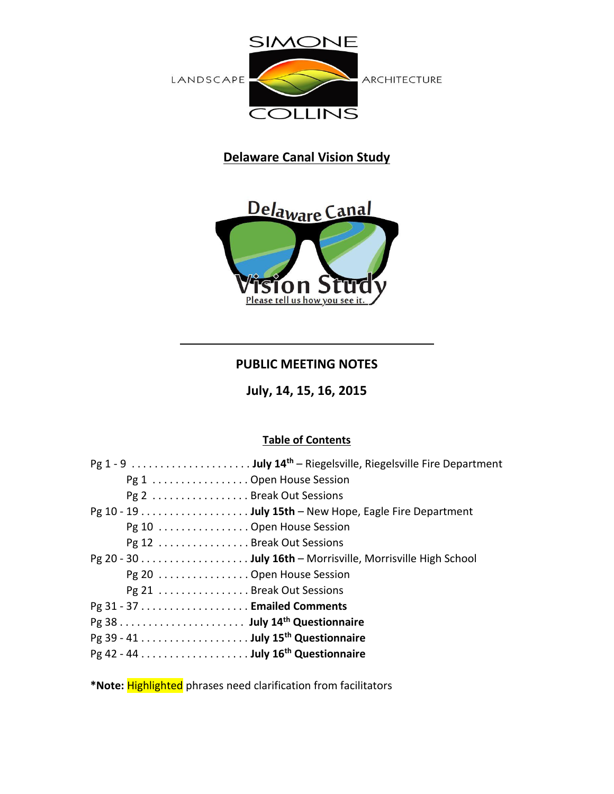

# **Delaware Canal Vision Study**



# **PUBLIC MEETING NOTES**

**July, 14, 15, 16, 2015**

# **Table of Contents**

| Pg 1 Open House Session  |
|--------------------------|
| Pg 2 Break Out Sessions  |
|                          |
| Pg 10 Open House Session |
| Pg 12 Break Out Sessions |
|                          |
| Pg 20 Open House Session |
| Pg 21 Break Out Sessions |
|                          |
|                          |
|                          |
|                          |
|                          |

**\*Note:** Highlighted phrases need clarification from facilitators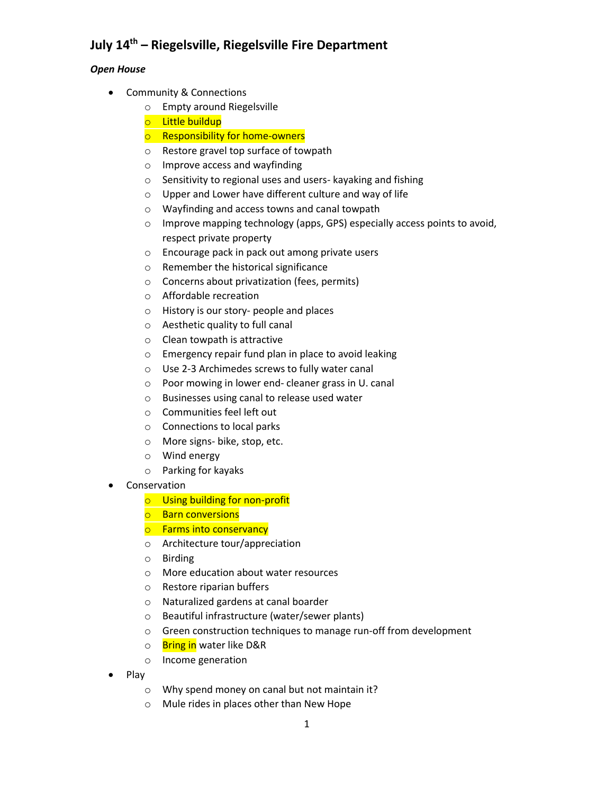# **July 14th – Riegelsville, Riegelsville Fire Department**

## *Open House*

- Community & Connections
	- o Empty around Riegelsville
	- o Little buildup
	- o Responsibility for home-owners
	- o Restore gravel top surface of towpath
	- o Improve access and wayfinding
	- o Sensitivity to regional uses and users- kayaking and fishing
	- o Upper and Lower have different culture and way of life
	- o Wayfinding and access towns and canal towpath
	- o Improve mapping technology (apps, GPS) especially access points to avoid, respect private property
	- o Encourage pack in pack out among private users
	- o Remember the historical significance
	- o Concerns about privatization (fees, permits)
	- o Affordable recreation
	- o History is our story- people and places
	- o Aesthetic quality to full canal
	- o Clean towpath is attractive
	- o Emergency repair fund plan in place to avoid leaking
	- o Use 2-3 Archimedes screws to fully water canal
	- o Poor mowing in lower end- cleaner grass in U. canal
	- o Businesses using canal to release used water
	- o Communities feel left out
	- o Connections to local parks
	- o More signs- bike, stop, etc.
	- o Wind energy
	- o Parking for kayaks
- Conservation
	- o Using building for non-profit
	- o Barn conversions
	- o Farms into conservancy
	- o Architecture tour/appreciation
	- o Birding
	- o More education about water resources
	- o Restore riparian buffers
	- o Naturalized gardens at canal boarder
	- o Beautiful infrastructure (water/sewer plants)
	- o Green construction techniques to manage run-off from development
	- o Bring in water like D&R
	- o Income generation
- $\bullet$  Play
	- o Why spend money on canal but not maintain it?
	- o Mule rides in places other than New Hope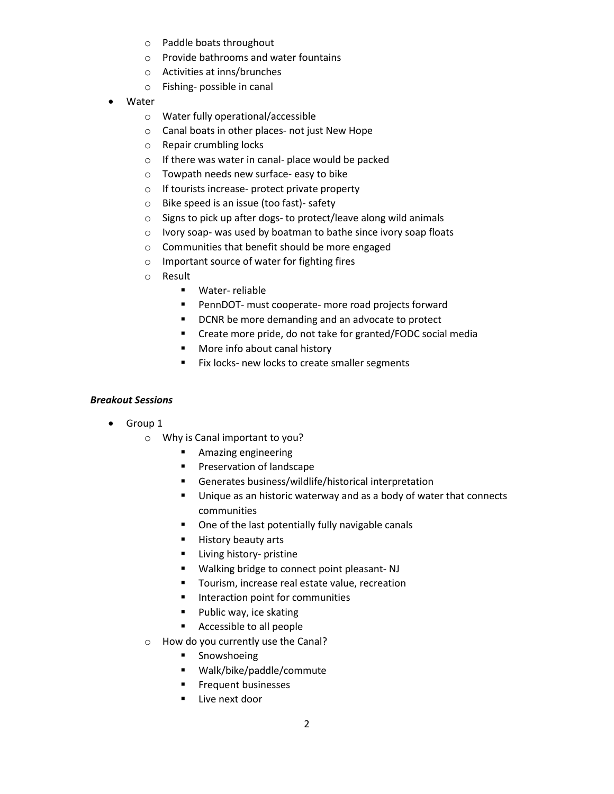- o Paddle boats throughout
- o Provide bathrooms and water fountains
- o Activities at inns/brunches
- o Fishing- possible in canal
- Water
	- o Water fully operational/accessible
	- o Canal boats in other places- not just New Hope
	- o Repair crumbling locks
	- o If there was water in canal- place would be packed
	- o Towpath needs new surface- easy to bike
	- o If tourists increase- protect private property
	- o Bike speed is an issue (too fast)- safety
	- o Signs to pick up after dogs- to protect/leave along wild animals
	- o Ivory soap- was used by boatman to bathe since ivory soap floats
	- o Communities that benefit should be more engaged
	- o Important source of water for fighting fires
	- o Result
		- Water- reliable
		- PennDOT- must cooperate- more road projects forward
		- **DCNR be more demanding and an advocate to protect**
		- **EXP** Create more pride, do not take for granted/FODC social media
		- **More info about canal history**
		- Fix locks- new locks to create smaller segments

#### *Breakout Sessions*

- Group 1
	- o Why is Canal important to you?
		- **Amazing engineering**
		- **Preservation of landscape**
		- Generates business/wildlife/historical interpretation
		- **Unique as an historic waterway and as a body of water that connects** communities
		- **•** One of the last potentially fully navigable canals
		- **History beauty arts**
		- **E** Living history- pristine
		- Walking bridge to connect point pleasant- NJ
		- **T** Tourism, increase real estate value, recreation
		- **Interaction point for communities**
		- Public way, ice skating
		- **Accessible to all people**
	- o How do you currently use the Canal?
		- **E** Snowshoeing
		- Walk/bike/paddle/commute
		- **Filter** Frequent businesses
		- **Live next door**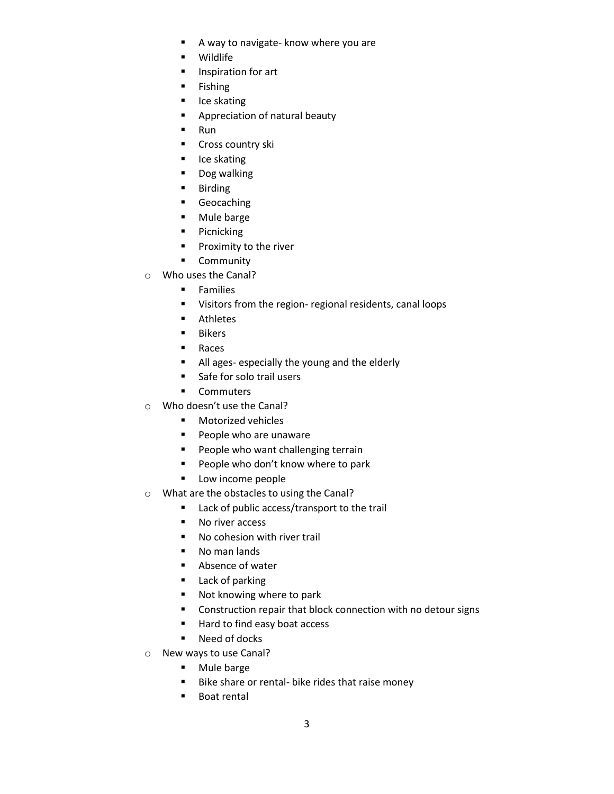- A way to navigate- know where you are
- **•** Wildlife
- **Inspiration for art**
- **Fishing**
- **I** Ice skating
- **Appreciation of natural beauty**
- Run
- **Cross country ski**
- **I** Ice skating
- **-** Dog walking
- **Birding**
- **Geocaching**
- **Mule barge**
- **Picnicking**
- **Proximity to the river**
- **-** Community
- o Who uses the Canal?
	- **Families**
	- Visitors from the region- regional residents, canal loops
	- **Athletes**
	- **Bikers**
	- **Races**
	- All ages- especially the young and the elderly
	- **Safe for solo trail users**
	- **Commuters**
- o Who doesn't use the Canal?
	- **Motorized vehicles**
	- **People who are unaware**
	- **People who want challenging terrain**
	- **People who don't know where to park**
	- **Low income people**
- o What are the obstacles to using the Canal?
	- **EXEC** Lack of public access/transport to the trail
	- No river access
	- No cohesion with river trail
	- No man lands
	- **Absence of water**
	- **Lack of parking**
	- Not knowing where to park
	- **EXECONSTRUCTION CONSTRUCTS** Connection with no detour signs
	- Hard to find easy boat access
	- Need of docks
- o New ways to use Canal?
	- **Mule barge**
	- Bike share or rental- bike rides that raise money
	- **Boat rental**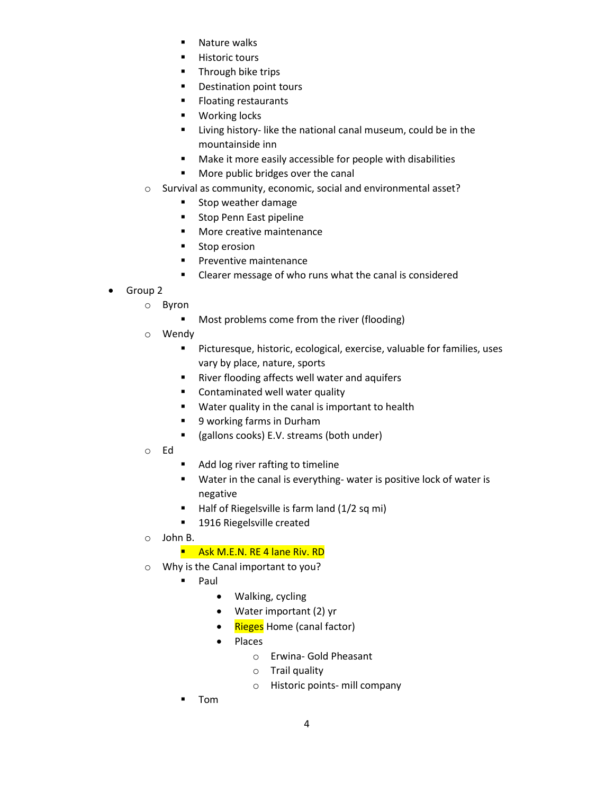- Nature walks
- Historic tours
- **Through bike trips**
- **•** Destination point tours
- Floating restaurants
- **•** Working locks
- **EXT** Living history-like the national canal museum, could be in the mountainside inn
- Make it more easily accessible for people with disabilities
- **More public bridges over the canal**
- o Survival as community, economic, social and environmental asset?
	- **Stop weather damage**
	- **Stop Penn East pipeline**
	- **More creative maintenance**
	- **Stop erosion**
	- **Preventive maintenance**
	- **EXE** Clearer message of who runs what the canal is considered
- Group 2
	- o Byron
		- **Most problems come from the river (flooding)**
	- o Wendy
		- Picturesque, historic, ecological, exercise, valuable for families, uses vary by place, nature, sports
		- **River flooding affects well water and aquifers**
		- **EXECONTER CONTAMINATED WATER CONTER**
		- **Water quality in the canal is important to health**
		- 9 working farms in Durham
		- (gallons cooks) E.V. streams (both under)
	- o Ed
- Add log river rafting to timeline
- Water in the canal is everything- water is positive lock of water is negative
- $\blacksquare$  Half of Riegelsville is farm land (1/2 sq mi)
- 1916 Riegelsville created
- o John B.

## **Ask M.E.N. RE 4 lane Riv. RD**

- o Why is the Canal important to you?
	- Paul
		- Walking, cycling
		- Water important (2) yr
		- Rieges Home (canal factor)
		- Places
			- o Erwina- Gold Pheasant
			- o Trail quality
			- o Historic points- mill company
	- Tom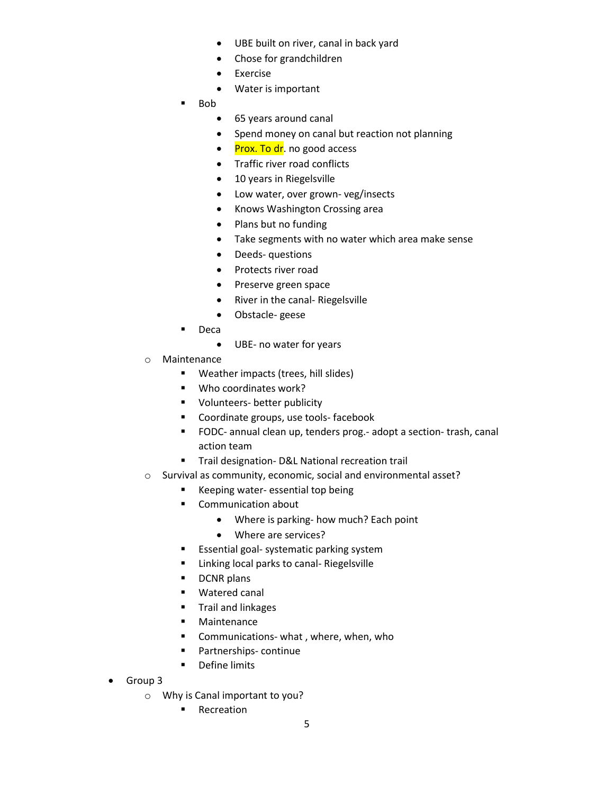- UBE built on river, canal in back yard
- Chose for grandchildren
- Exercise
- Water is important
- $\blacksquare$  Bob
	- 65 years around canal
	- Spend money on canal but reaction not planning
	- Prox. To dr. no good access
	- Traffic river road conflicts
	- 10 years in Riegelsville
	- Low water, over grown- veg/insects
	- Knows Washington Crossing area
	- Plans but no funding
	- Take segments with no water which area make sense
	- Deeds- questions
	- Protects river road
	- Preserve green space
	- River in the canal- Riegelsville
	- Obstacle- geese
- Deca
	- UBE- no water for years
- o Maintenance
	- **Weather impacts (trees, hill slides)**
	- Who coordinates work?
	- **v** Volunteers- better publicity
	- **Coordinate groups, use tools-facebook**
	- FODC- annual clean up, tenders prog.- adopt a section- trash, canal action team
	- **Trail designation- D&L National recreation trail**
- o Survival as community, economic, social and environmental asset?
	- **Keeping water-essential top being**
	- **Communication about** 
		- Where is parking- how much? Each point
		- Where are services?
	- **Essential goal- systematic parking system**
	- **E** Linking local parks to canal- Riegelsville
	- **DCNR** plans
	- Watered canal
	- **Trail and linkages**
	- **•** Maintenance
	- **EXECOMMUNICATIONS- what, where, when, who**
	- **Partnerships- continue**
	- **•** Define limits
- Group 3
	- o Why is Canal important to you?
		- **Recreation**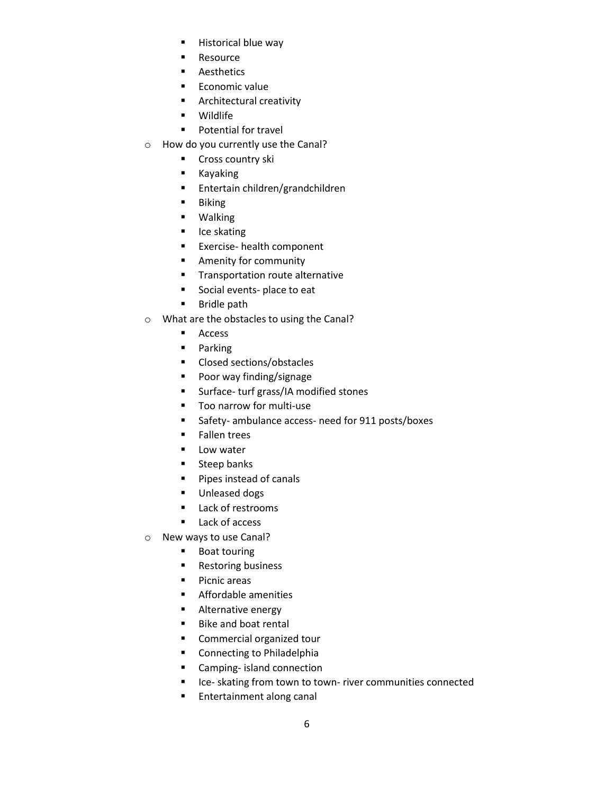- **Historical blue way**
- **Resource**
- **Aesthetics**
- **Economic value**
- **Architectural creativity**
- **•** Wildlife
- **Potential for travel**
- o How do you currently use the Canal?
	- **Cross country ski**
	- **E** Kayaking
	- **Entertain children/grandchildren**
	- **Biking**
	- Walking
	- **I** Ice skating
	- **Exercise- health component**
	- **Amenity for community**
	- **Transportation route alternative**
	- **Social events- place to eat**
	- **Bridle path**
- o What are the obstacles to using the Canal?
	- **Access**
	- **Parking**
	- **Closed sections/obstacles**
	- Poor way finding/signage
	- **Surface- turf grass/IA modified stones**
	- Too narrow for multi-use
	- **Safety- ambulance access- need for 911 posts/boxes**
	- **Fallen trees**
	- **Low water**
	- **Steep banks**
	- **Pipes instead of canals**
	- **Unleased dogs**
	- **Lack of restrooms**
	- **Lack of access**
- o New ways to use Canal?
	- **Boat touring**
	- **Restoring business**
	- **Picnic areas**
	- Affordable amenities
	- **Alternative energy**
	- Bike and boat rental
	- Commercial organized tour
	- **E** Connecting to Philadelphia
	- **Camping- island connection**
	- Ice- skating from town to town- river communities connected
	- **Entertainment along canal**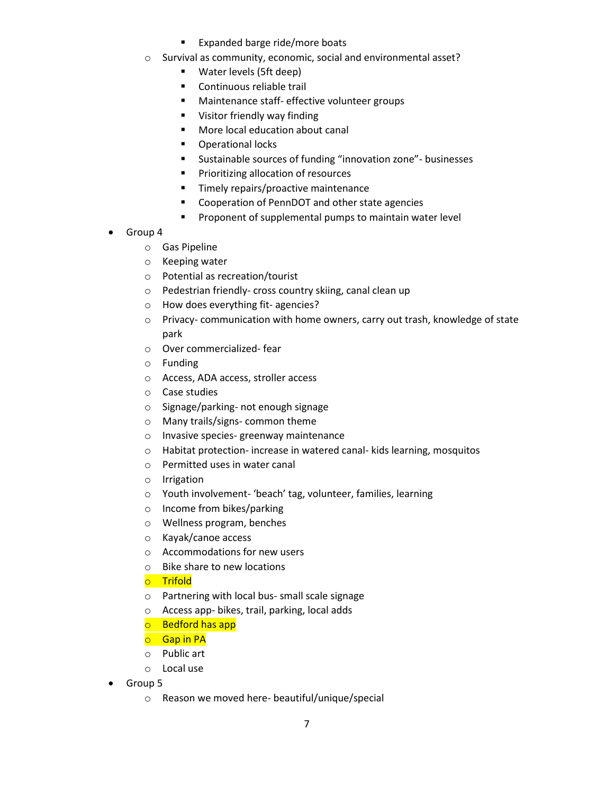- **Expanded barge ride/more boats**
- o Survival as community, economic, social and environmental asset?
	- Water levels (5ft deep)
	- **Continuous reliable trail**
	- **Maintenance staff- effective volunteer groups**
	- **Visitor friendly way finding**
	- **More local education about canal**
	- **•** Operational locks
	- Sustainable sources of funding "innovation zone"- businesses
	- **Prioritizing allocation of resources**
	- **Timely repairs/proactive maintenance**
	- Cooperation of PennDOT and other state agencies
	- **Proponent of supplemental pumps to maintain water level**
- Group 4
	- o Gas Pipeline
	- o Keeping water
	- o Potential as recreation/tourist
	- o Pedestrian friendly- cross country skiing, canal clean up
	- o How does everything fit- agencies?
	- o Privacy- communication with home owners, carry out trash, knowledge of state park
	- o Over commercialized- fear
	- o Funding
	- o Access, ADA access, stroller access
	- o Case studies
	- o Signage/parking- not enough signage
	- o Many trails/signs- common theme
	- o Invasive species- greenway maintenance
	- o Habitat protection- increase in watered canal- kids learning, mosquitos
	- o Permitted uses in water canal
	- o Irrigation
	- o Youth involvement- 'beach' tag, volunteer, families, learning
	- o Income from bikes/parking
	- o Wellness program, benches
	- o Kayak/canoe access
	- o Accommodations for new users
	- o Bike share to new locations
	- o Trifold
	- o Partnering with local bus- small scale signage
	- o Access app- bikes, trail, parking, local adds
	- o Bedford has app
	- o Gap in PA
	- o Public art
	- o Local use
- Group 5
	- o Reason we moved here- beautiful/unique/special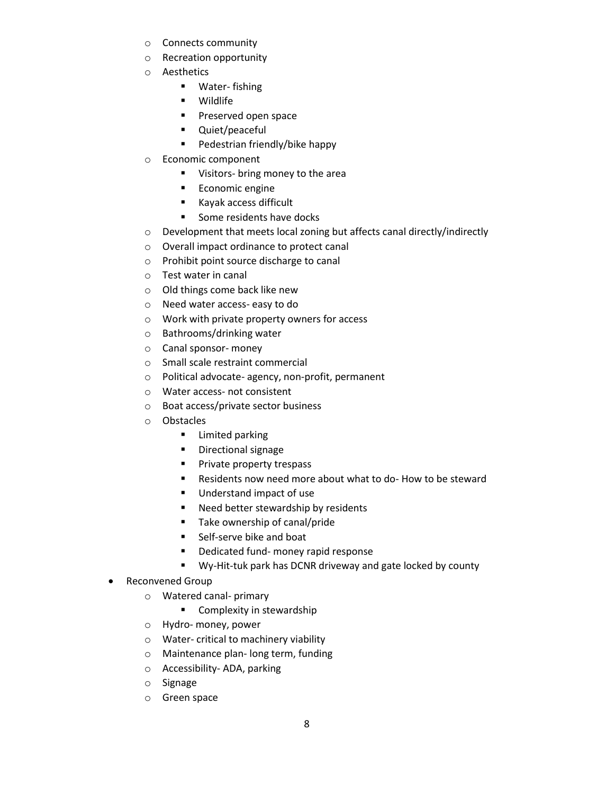- o Connects community
- o Recreation opportunity
- o Aesthetics
	- Water- fishing
	- Wildlife
	- **Preserved open space**
	- Quiet/peaceful
	- **Pedestrian friendly/bike happy**
- o Economic component
	- **UI Visitors- bring money to the area**
	- **Economic engine**
	- Kayak access difficult
	- **Some residents have docks**
- o Development that meets local zoning but affects canal directly/indirectly
- o Overall impact ordinance to protect canal
- o Prohibit point source discharge to canal
- o Test water in canal
- o Old things come back like new
- o Need water access- easy to do
- o Work with private property owners for access
- o Bathrooms/drinking water
- o Canal sponsor- money
- o Small scale restraint commercial
- o Political advocate- agency, non-profit, permanent
- o Water access- not consistent
- o Boat access/private sector business
- o Obstacles
	- **E** Limited parking
	- **•** Directional signage
	- **Private property trespass**
	- Residents now need more about what to do- How to be steward
	- **Understand impact of use**
	- **Need better stewardship by residents**
	- Take ownership of canal/pride
	- **Self-serve bike and boat**
	- **•** Dedicated fund- money rapid response
	- Wy-Hit-tuk park has DCNR driveway and gate locked by county
- Reconvened Group
	- o Watered canal- primary
		- **Complexity in stewardship**
	- o Hydro- money, power
	- o Water- critical to machinery viability
	- o Maintenance plan- long term, funding
	- o Accessibility- ADA, parking
	- o Signage
	- o Green space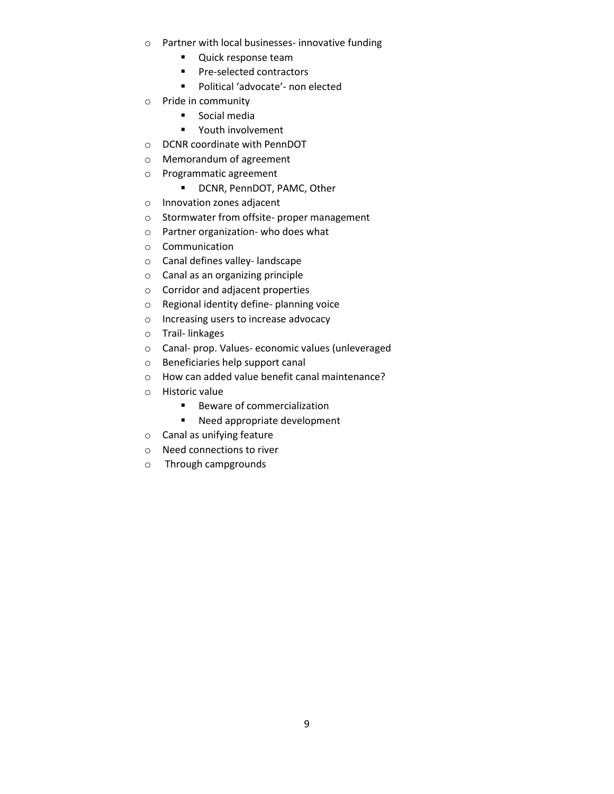- o Partner with local businesses- innovative funding
	- **Quick response team**
	- **Pre-selected contractors**
	- **Political 'advocate'- non elected**
- o Pride in community
	- **Social media**
	- **•** Youth involvement
- o DCNR coordinate with PennDOT
- o Memorandum of agreement
- o Programmatic agreement
	- **•** DCNR, PennDOT, PAMC, Other
- o Innovation zones adjacent
- o Stormwater from offsite- proper management
- o Partner organization- who does what
- o Communication
- o Canal defines valley- landscape
- o Canal as an organizing principle
- o Corridor and adjacent properties
- o Regional identity define- planning voice
- o Increasing users to increase advocacy
- o Trail- linkages
- o Canal- prop. Values- economic values (unleveraged
- o Beneficiaries help support canal
- o How can added value benefit canal maintenance?
- o Historic value
	- **Beware of commercialization**
	- **Need appropriate development**
- o Canal as unifying feature
- o Need connections to river
- o Through campgrounds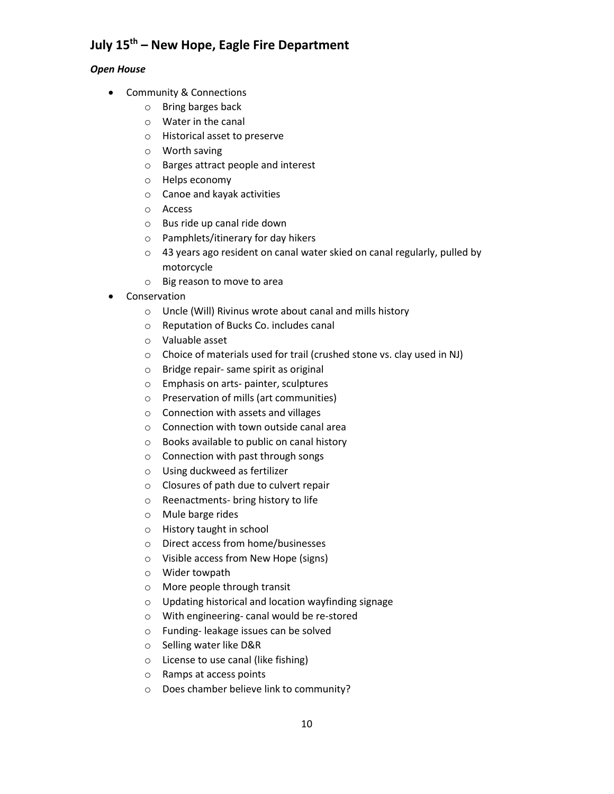# **July 15th – New Hope, Eagle Fire Department**

### *Open House*

- Community & Connections
	- o Bring barges back
	- o Water in the canal
	- o Historical asset to preserve
	- o Worth saving
	- o Barges attract people and interest
	- o Helps economy
	- o Canoe and kayak activities
	- o Access
	- o Bus ride up canal ride down
	- o Pamphlets/itinerary for day hikers
	- o 43 years ago resident on canal water skied on canal regularly, pulled by motorcycle
	- o Big reason to move to area
- Conservation
	- o Uncle (Will) Rivinus wrote about canal and mills history
	- o Reputation of Bucks Co. includes canal
	- o Valuable asset
	- o Choice of materials used for trail (crushed stone vs. clay used in NJ)
	- o Bridge repair- same spirit as original
	- o Emphasis on arts- painter, sculptures
	- o Preservation of mills (art communities)
	- o Connection with assets and villages
	- o Connection with town outside canal area
	- o Books available to public on canal history
	- o Connection with past through songs
	- o Using duckweed as fertilizer
	- o Closures of path due to culvert repair
	- o Reenactments- bring history to life
	- o Mule barge rides
	- o History taught in school
	- o Direct access from home/businesses
	- o Visible access from New Hope (signs)
	- o Wider towpath
	- o More people through transit
	- o Updating historical and location wayfinding signage
	- o With engineering- canal would be re-stored
	- o Funding- leakage issues can be solved
	- o Selling water like D&R
	- o License to use canal (like fishing)
	- o Ramps at access points
	- o Does chamber believe link to community?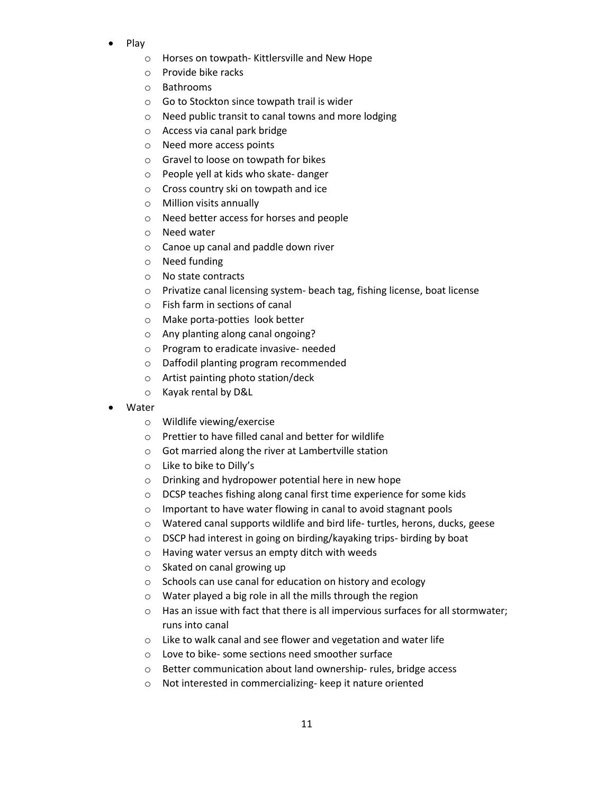- Play
	- o Horses on towpath- Kittlersville and New Hope
	- o Provide bike racks
	- o Bathrooms
	- o Go to Stockton since towpath trail is wider
	- o Need public transit to canal towns and more lodging
	- o Access via canal park bridge
	- o Need more access points
	- o Gravel to loose on towpath for bikes
	- o People yell at kids who skate- danger
	- o Cross country ski on towpath and ice
	- o Million visits annually
	- o Need better access for horses and people
	- o Need water
	- o Canoe up canal and paddle down river
	- o Need funding
	- o No state contracts
	- o Privatize canal licensing system- beach tag, fishing license, boat license
	- o Fish farm in sections of canal
	- o Make porta-potties look better
	- o Any planting along canal ongoing?
	- o Program to eradicate invasive- needed
	- o Daffodil planting program recommended
	- o Artist painting photo station/deck
	- o Kayak rental by D&L
- Water
	- o Wildlife viewing/exercise
	- o Prettier to have filled canal and better for wildlife
	- o Got married along the river at Lambertville station
	- o Like to bike to Dilly's
	- o Drinking and hydropower potential here in new hope
	- o DCSP teaches fishing along canal first time experience for some kids
	- o Important to have water flowing in canal to avoid stagnant pools
	- o Watered canal supports wildlife and bird life- turtles, herons, ducks, geese
	- o DSCP had interest in going on birding/kayaking trips- birding by boat
	- o Having water versus an empty ditch with weeds
	- o Skated on canal growing up
	- o Schools can use canal for education on history and ecology
	- o Water played a big role in all the mills through the region
	- o Has an issue with fact that there is all impervious surfaces for all stormwater; runs into canal
	- o Like to walk canal and see flower and vegetation and water life
	- o Love to bike- some sections need smoother surface
	- o Better communication about land ownership- rules, bridge access
	- o Not interested in commercializing- keep it nature oriented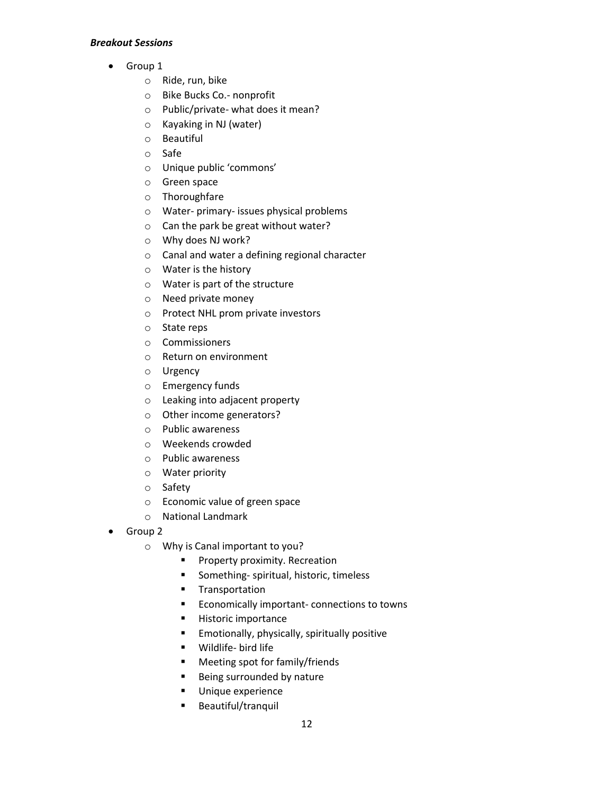#### *Breakout Sessions*

- Group 1
	- o Ride, run, bike
	- o Bike Bucks Co.- nonprofit
	- o Public/private- what does it mean?
	- o Kayaking in NJ (water)
	- o Beautiful
	- o Safe
	- o Unique public 'commons'
	- o Green space
	- o Thoroughfare
	- o Water- primary- issues physical problems
	- o Can the park be great without water?
	- o Why does NJ work?
	- o Canal and water a defining regional character
	- o Water is the history
	- o Water is part of the structure
	- o Need private money
	- o Protect NHL prom private investors
	- o State reps
	- o Commissioners
	- o Return on environment
	- o Urgency
	- o Emergency funds
	- o Leaking into adjacent property
	- o Other income generators?
	- o Public awareness
	- o Weekends crowded
	- o Public awareness
	- o Water priority
	- o Safety
	- o Economic value of green space
	- o National Landmark
- Group 2
	- o Why is Canal important to you?
		- **Property proximity. Recreation**
		- **Something- spiritual, historic, timeless**
		- **Transportation**
		- **Economically important- connections to towns**
		- **Historic importance**
		- **Emotionally, physically, spiritually positive**
		- Wildlife- bird life
		- **•** Meeting spot for family/friends
		- Being surrounded by nature
		- **Unique experience**
		- **Beautiful/tranquil**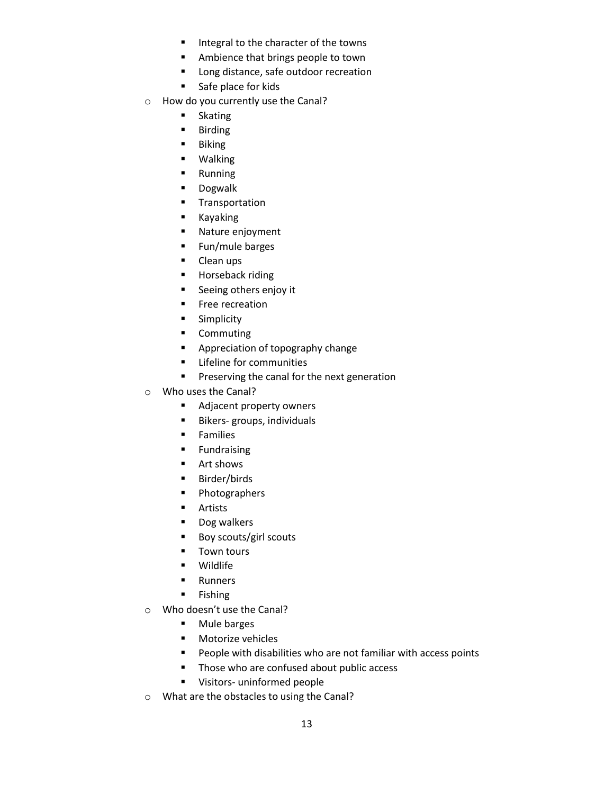- Integral to the character of the towns
- **Ambience that brings people to town**
- **Long distance, safe outdoor recreation**
- **Safe place for kids**
- o How do you currently use the Canal?
	- **Skating**
	- **Birding**
	- **Biking**
	- Walking
	- **Running**
	- **Dogwalk**
	- **Transportation**
	- **E** Kayaking
	- **Nature enjoyment**
	- **Fun/mule barges**
	- **-** Clean ups
	- **Horseback riding**
	- **Seeing others enjoy it**
	- **Free recreation**
	- **E** Simplicity
	- **•** Commuting
	- **Appreciation of topography change**
	- **EXECUTE:** Lifeline for communities
	- **Preserving the canal for the next generation**
- o Who uses the Canal?
	- **Adjacent property owners**
	- **Bikers- groups, individuals**
	- **Families**
	- **Fundraising**
	- **Art shows**
	- **Birder/birds**
	- **•** Photographers
	- **Artists**
	- **Dog walkers**
	- Boy scouts/girl scouts
	- **Town tours**
	- **■** Wildlife
	- **Runners**
	- **Fishing**
- o Who doesn't use the Canal?
	- **Mule barges**
	- **Motorize vehicles**
	- **People with disabilities who are not familiar with access points**
	- **Those who are confused about public access**
	- Visitors- uninformed people
- o What are the obstacles to using the Canal?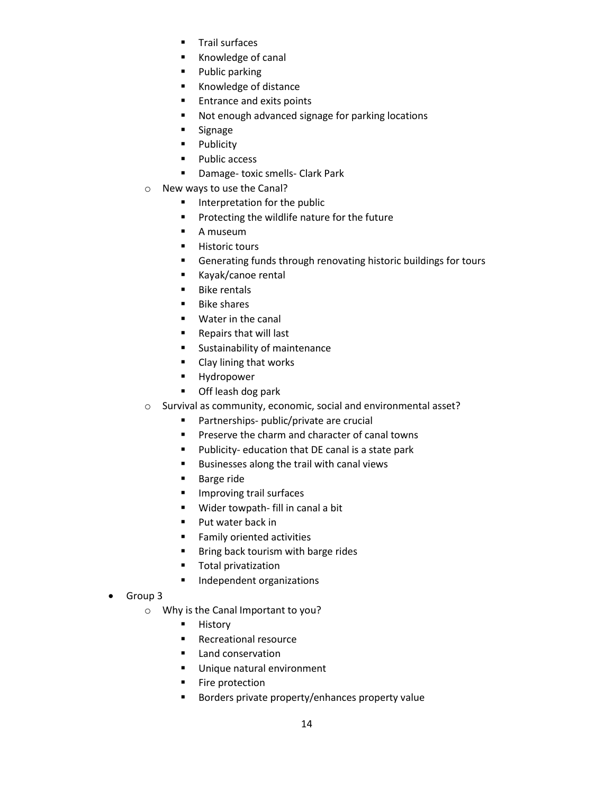- Trail surfaces
- Knowledge of canal
- **•** Public parking
- Knowledge of distance
- **Entrance and exits points**
- Not enough advanced signage for parking locations
- Signage
- **Publicity**
- Public access
- **Damage- toxic smells- Clark Park**
- o New ways to use the Canal?
	- **Interpretation for the public**
	- **Protecting the wildlife nature for the future**
	- A museum
	- **-** Historic tours
	- Generating funds through renovating historic buildings for tours
	- Kayak/canoe rental
	- **Bike rentals**
	- **Bike shares**
	- **Water in the canal**
	- Repairs that will last
	- **Sustainability of maintenance**
	- Clay lining that works
	- **Hydropower**
	- **Off leash dog park**
- o Survival as community, economic, social and environmental asset?
	- **Partnerships- public/private are crucial**
	- **Preserve the charm and character of canal towns**
	- **Publicity- education that DE canal is a state park**
	- Businesses along the trail with canal views
	- **Barge ride**
	- **Improving trail surfaces**
	- Wider towpath- fill in canal a bit
	- **Put water back in**
	- **Family oriented activities**
	- **Bring back tourism with barge rides**
	- **Total privatization**
	- **Independent organizations**
- Group 3
	- o Why is the Canal Important to you?
		- **-** History
		- **Recreational resource**
		- **Land conservation**
		- **Unique natural environment**
		- **Fire protection**
		- **Borders private property/enhances property value**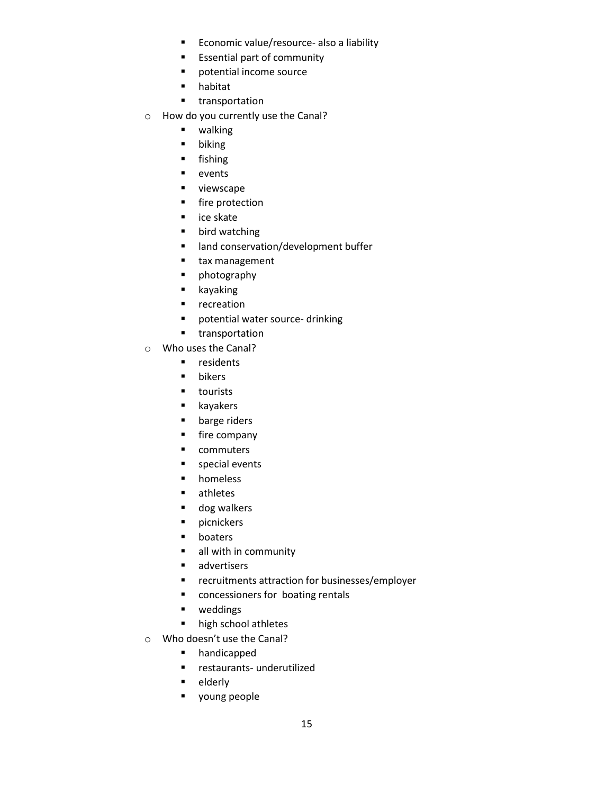- **Economic value/resource- also a liability**
- **Essential part of community**
- **•** potential income source
- habitat
- **·** transportation
- o How do you currently use the Canal?
	- walking
	- **•** biking
	- **Fishing**
	- **events**
	- **•** viewscape
	- **•** fire protection
	- ice skate
	- **•** bird watching
	- **Ind conservation/development buffer**
	- **tax management**
	- **•** photography
	- **E** kayaking
	- **•** recreation
	- potential water source- drinking
	- **·** transportation
- o Who uses the Canal?
	- **residents**
	- **u** bikers
	- **u** tourists
	- **E** kayakers
	- **barge riders**
	- **Fire company**
	- **•** commuters
	- **special events**
	- **n** homeless
	- **u** athletes
	- **dog walkers**
	- **•** picnickers
	- **•** boaters
	- **all with in community**
	- **advertisers**
	- **F** recruitments attraction for businesses/employer
	- **EXECONCESSIONERS for boating rentals**
	- **•** weddings
	- **n** high school athletes
- o Who doesn't use the Canal?
	- **n** handicapped
	- restaurants- underutilized
	- **E** elderly
	- **•** young people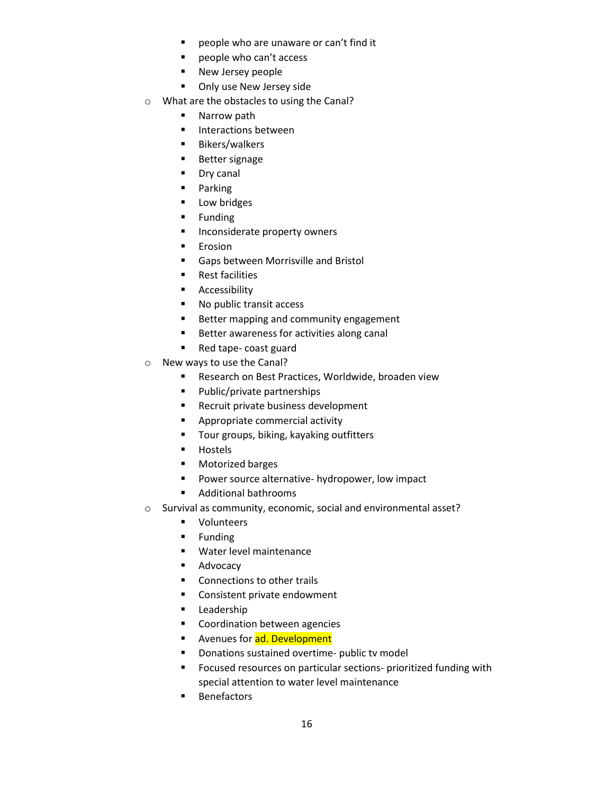- people who are unaware or can't find it
- people who can't access
- **New Jersey people**
- **-** Only use New Jersey side
- o What are the obstacles to using the Canal?
	- **Narrow path**
	- **Interactions between**
	- **Bikers/walkers**
	- **Better signage**
	- **Dry canal**
	- **Parking**
	- **Low bridges**
	- **Funding**
	- **Inconsiderate property owners**
	- **Erosion**
	- Gaps between Morrisville and Bristol
	- **Rest facilities**
	- **Accessibility**
	- No public transit access
	- **Better mapping and community engagement**
	- **Better awareness for activities along canal**
	- Red tape- coast guard
- o New ways to use the Canal?
	- Research on Best Practices, Worldwide, broaden view
	- Public/private partnerships
	- **Recruit private business development**
	- **Appropriate commercial activity**
	- **Tour groups, biking, kayaking outfitters**
	- **Hostels**
	- **Motorized barges**
	- **Power source alternative- hydropower, low impact**
	- Additional bathrooms
- o Survival as community, economic, social and environmental asset?
	- **•** Volunteers
	- $\blacksquare$  Funding
	- Water level maintenance
	- **Advocacy**
	- Connections to other trails
	- **Consistent private endowment**
	- **Leadership**
	- **EXECOORDINATION DETA** Coordination between agencies
	- Avenues for ad. Development
	- **•** Donations sustained overtime- public tv model
	- **FILE** Focused resources on particular sections- prioritized funding with special attention to water level maintenance
	- Benefactors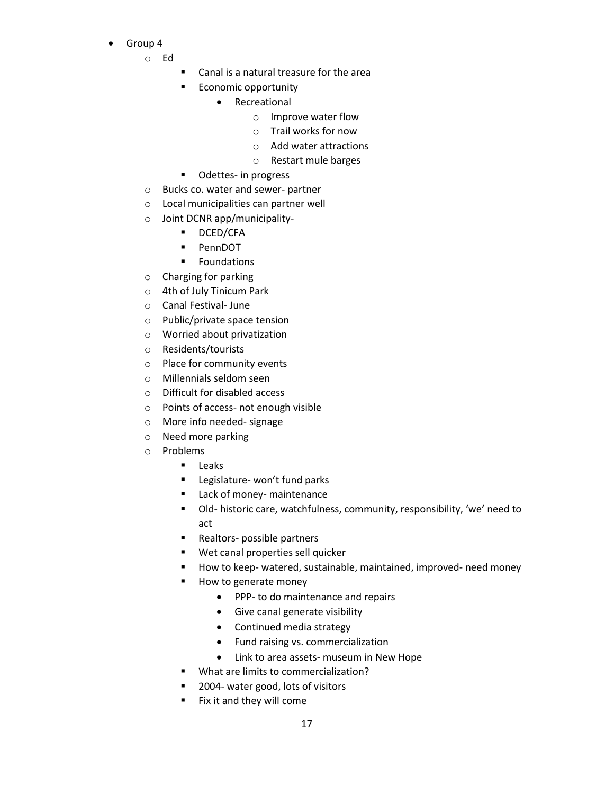- Group 4
	- o Ed
- Canal is a natural treasure for the area
- **Economic opportunity** 
	- Recreational
		- o Improve water flow
		- o Trail works for now
		- o Add water attractions
		- o Restart mule barges
- **Odettes- in progress**
- o Bucks co. water and sewer- partner
- o Local municipalities can partner well
- o Joint DCNR app/municipality-
	- **DCED/CFA**
	- **PennDOT**
	- **F** Foundations
- o Charging for parking
- o 4th of July Tinicum Park
- o Canal Festival- June
- o Public/private space tension
- o Worried about privatization
- o Residents/tourists
- o Place for community events
- o Millennials seldom seen
- o Difficult for disabled access
- o Points of access- not enough visible
- o More info needed- signage
- o Need more parking
- o Problems
	- **Leaks**
	- **Legislature- won't fund parks**
	- **Lack of money- maintenance**
	- Old- historic care, watchfulness, community, responsibility, 'we' need to act
	- **Realtors- possible partners**
	- Wet canal properties sell quicker
	- How to keep- watered, sustainable, maintained, improved- need money
	- **How to generate money** 
		- PPP- to do maintenance and repairs
		- Give canal generate visibility
		- Continued media strategy
		- Fund raising vs. commercialization
		- Link to area assets- museum in New Hope
	- **What are limits to commercialization?**
	- 2004- water good, lots of visitors
	- $\blacksquare$  Fix it and they will come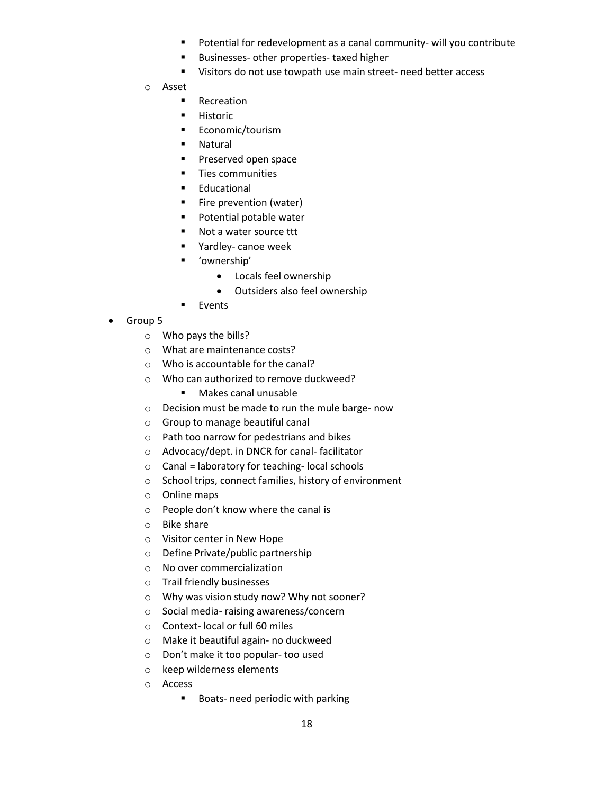- Potential for redevelopment as a canal community- will you contribute
- **Businesses- other properties- taxed higher**
- Visitors do not use towpath use main street- need better access
- o Asset
	- **Recreation**
	- **-** Historic
	- **Economic/tourism**
	- Natural
	- **Preserved open space**
	- **Ties communities**
	- **Educational**
	- Fire prevention (water)
	- Potential potable water
	- Not a water source ttt
	- Yardley- canoe week
	- 'ownership'
		- Locals feel ownership
		- Outsiders also feel ownership
	- **Events**
- Group 5
	- o Who pays the bills?
	- o What are maintenance costs?
	- o Who is accountable for the canal?
	- o Who can authorized to remove duckweed?
		- **Makes canal unusable**
	- o Decision must be made to run the mule barge- now
	- o Group to manage beautiful canal
	- o Path too narrow for pedestrians and bikes
	- o Advocacy/dept. in DNCR for canal- facilitator
	- $\circ$  Canal = laboratory for teaching- local schools
	- o School trips, connect families, history of environment
	- o Online maps
	- o People don't know where the canal is
	- o Bike share
	- o Visitor center in New Hope
	- o Define Private/public partnership
	- o No over commercialization
	- o Trail friendly businesses
	- o Why was vision study now? Why not sooner?
	- o Social media- raising awareness/concern
	- o Context- local or full 60 miles
	- o Make it beautiful again- no duckweed
	- o Don't make it too popular- too used
	- o keep wilderness elements
	- o Access
		- **Boats-need periodic with parking**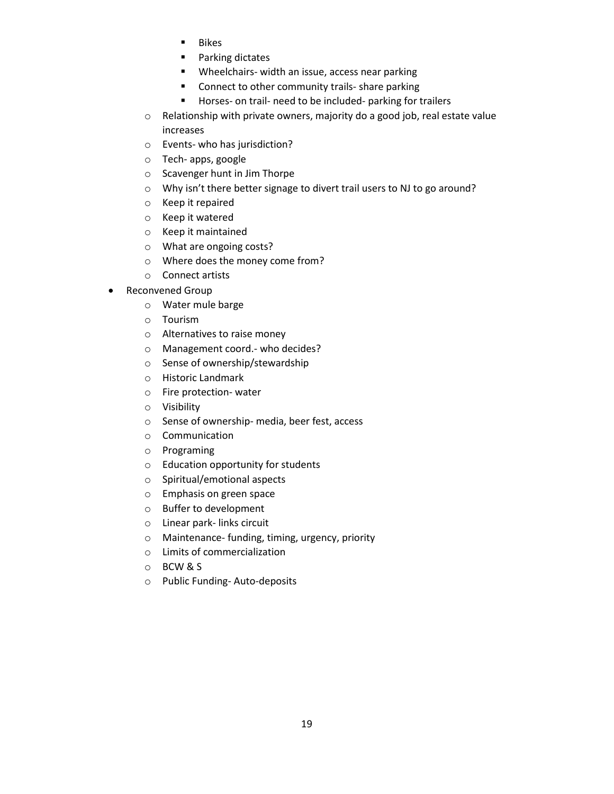- **Bikes**
- **Parking dictates**
- **Wheelchairs- width an issue, access near parking**
- **EXECONNECT CONDUCTS** Connect to other community trails- share parking
- Horses- on trail- need to be included- parking for trailers
- o Relationship with private owners, majority do a good job, real estate value increases
- o Events- who has jurisdiction?
- o Tech- apps, google
- o Scavenger hunt in Jim Thorpe
- o Why isn't there better signage to divert trail users to NJ to go around?
- o Keep it repaired
- o Keep it watered
- o Keep it maintained
- o What are ongoing costs?
- o Where does the money come from?
- o Connect artists
- Reconvened Group
	- o Water mule barge
	- o Tourism
	- o Alternatives to raise money
	- o Management coord.- who decides?
	- o Sense of ownership/stewardship
	- o Historic Landmark
	- o Fire protection- water
	- o Visibility
	- o Sense of ownership- media, beer fest, access
	- o Communication
	- o Programing
	- o Education opportunity for students
	- o Spiritual/emotional aspects
	- o Emphasis on green space
	- o Buffer to development
	- o Linear park- links circuit
	- o Maintenance- funding, timing, urgency, priority
	- o Limits of commercialization
	- o BCW & S
	- o Public Funding- Auto-deposits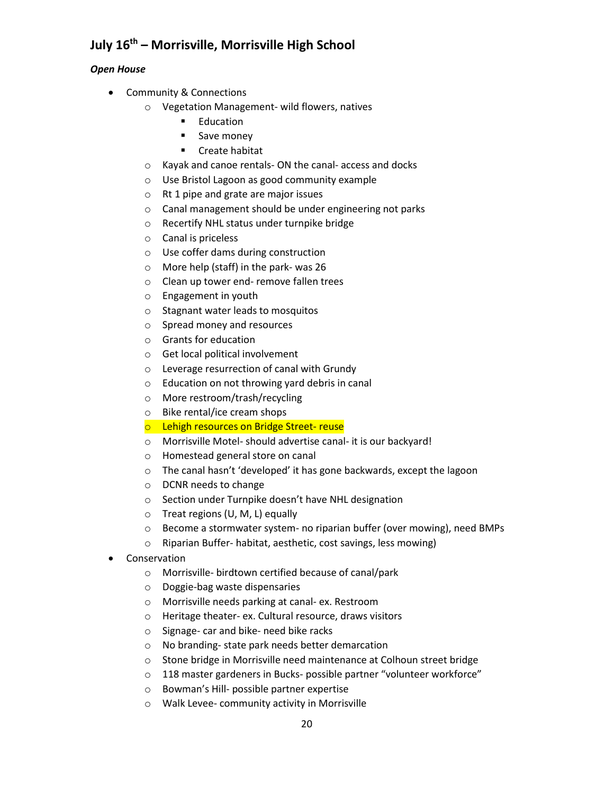# **July 16th – Morrisville, Morrisville High School**

### *Open House*

- Community & Connections
	- o Vegetation Management- wild flowers, natives
		- **Education**
		- **Save money**
		- **E** Create habitat
	- o Kayak and canoe rentals- ON the canal- access and docks
	- o Use Bristol Lagoon as good community example
	- o Rt 1 pipe and grate are major issues
	- o Canal management should be under engineering not parks
	- o Recertify NHL status under turnpike bridge
	- o Canal is priceless
	- o Use coffer dams during construction
	- o More help (staff) in the park- was 26
	- o Clean up tower end- remove fallen trees
	- o Engagement in youth
	- o Stagnant water leads to mosquitos
	- o Spread money and resources
	- o Grants for education
	- o Get local political involvement
	- o Leverage resurrection of canal with Grundy
	- o Education on not throwing yard debris in canal
	- o More restroom/trash/recycling
	- o Bike rental/ice cream shops
	- o Lehigh resources on Bridge Street- reuse
	- o Morrisville Motel- should advertise canal- it is our backyard!
	- o Homestead general store on canal
	- o The canal hasn't 'developed' it has gone backwards, except the lagoon
	- o DCNR needs to change
	- o Section under Turnpike doesn't have NHL designation
	- o Treat regions (U, M, L) equally
	- o Become a stormwater system- no riparian buffer (over mowing), need BMPs
	- o Riparian Buffer- habitat, aesthetic, cost savings, less mowing)
- Conservation
	- o Morrisville- birdtown certified because of canal/park
	- o Doggie-bag waste dispensaries
	- o Morrisville needs parking at canal- ex. Restroom
	- o Heritage theater- ex. Cultural resource, draws visitors
	- o Signage- car and bike- need bike racks
	- o No branding- state park needs better demarcation
	- o Stone bridge in Morrisville need maintenance at Colhoun street bridge
	- o 118 master gardeners in Bucks- possible partner "volunteer workforce"
	- o Bowman's Hill- possible partner expertise
	- o Walk Levee- community activity in Morrisville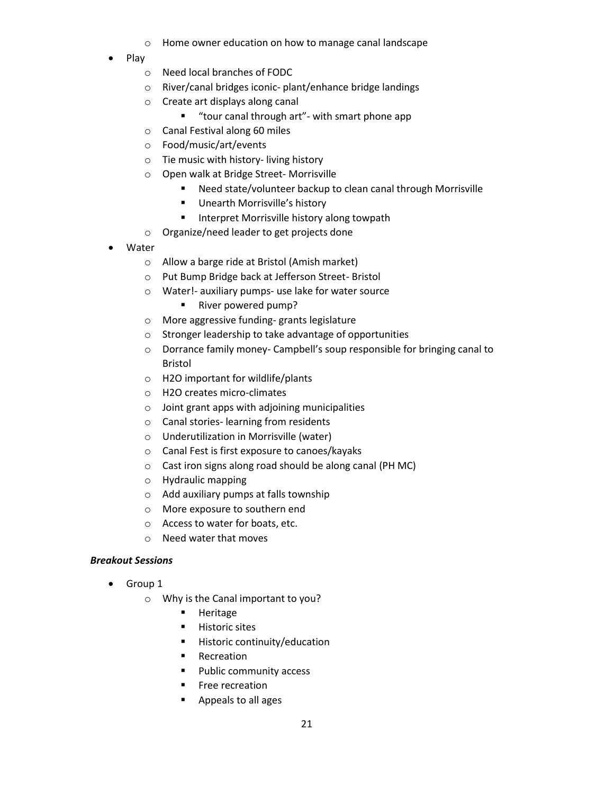- o Home owner education on how to manage canal landscape
- $\bullet$  Play
	- o Need local branches of FODC
	- o River/canal bridges iconic- plant/enhance bridge landings
	- o Create art displays along canal
		- "tour canal through art"- with smart phone app
	- o Canal Festival along 60 miles
	- o Food/music/art/events
	- o Tie music with history- living history
	- o Open walk at Bridge Street- Morrisville
		- Need state/volunteer backup to clean canal through Morrisville
		- **Unearth Morrisville's history**
		- **Interpret Morrisville history along towpath**
	- o Organize/need leader to get projects done
- Water
	- o Allow a barge ride at Bristol (Amish market)
	- o Put Bump Bridge back at Jefferson Street- Bristol
	- o Water!- auxiliary pumps- use lake for water source
		- River powered pump?
	- o More aggressive funding- grants legislature
	- o Stronger leadership to take advantage of opportunities
	- o Dorrance family money- Campbell's soup responsible for bringing canal to Bristol
	- o H2O important for wildlife/plants
	- o H2O creates micro-climates
	- o Joint grant apps with adjoining municipalities
	- o Canal stories- learning from residents
	- o Underutilization in Morrisville (water)
	- o Canal Fest is first exposure to canoes/kayaks
	- o Cast iron signs along road should be along canal (PH MC)
	- o Hydraulic mapping
	- o Add auxiliary pumps at falls township
	- o More exposure to southern end
	- o Access to water for boats, etc.
	- o Need water that moves

#### *Breakout Sessions*

- Group 1
	- o Why is the Canal important to you?
		- **Heritage**
		- **Historic sites**
		- **Historic continuity/education**
		- **Recreation**
		- Public community access
		- **Free recreation**
		- **Appeals to all ages**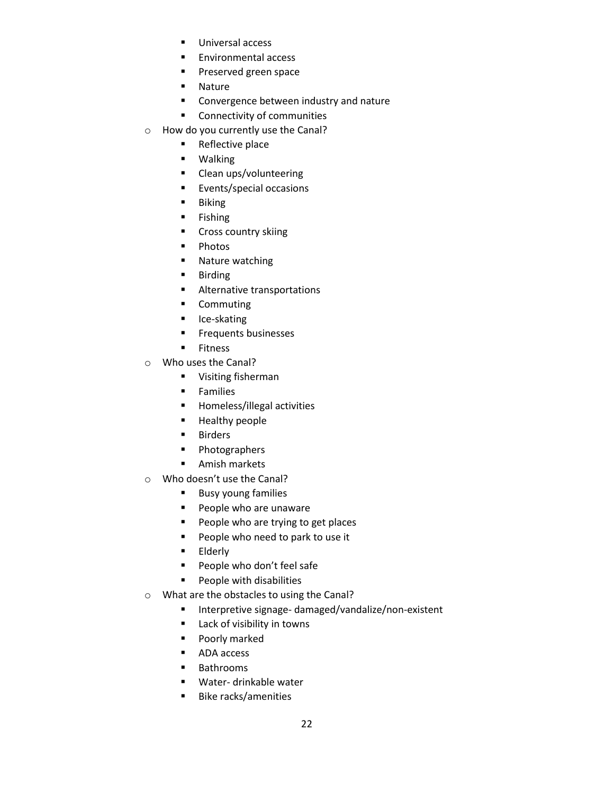- **Universal access**
- **Environmental access**
- **Preserved green space**
- Nature
- **EXECONCERGIVE CONVERGIST CONVERGIST**
- **Connectivity of communities**
- o How do you currently use the Canal?
	- **Reflective place**
	- Walking
	- **Clean ups/volunteering**
	- **Events/special occasions**
	- **Biking**
	- **Fishing**
	- **Cross country skiing**
	- **•** Photos
	- **Nature watching**
	- **Birding**
	- **Alternative transportations**
	- **-** Commuting
	- **I** Ice-skating
	- **Frequents businesses**
	- **Fitness**
- o Who uses the Canal?
	- **•** Visiting fisherman
	- **Families**
	- **Homeless/illegal activities**
	- **-** Healthy people
	- **Birders**
	- **•** Photographers
	- **Amish markets**
- o Who doesn't use the Canal?
	- **Busy young families**
	- **People who are unaware**
	- **People who are trying to get places**
	- **People who need to park to use it**
	- **Elderly**
	- **People who don't feel safe**
	- **People with disabilities**
- o What are the obstacles to using the Canal?
	- **Interpretive signage- damaged/vandalize/non-existent**
	- Lack of visibility in towns
	- **Poorly marked**
	- ADA access
	- **Bathrooms**
	- Water- drinkable water
	- **Bike racks/amenities**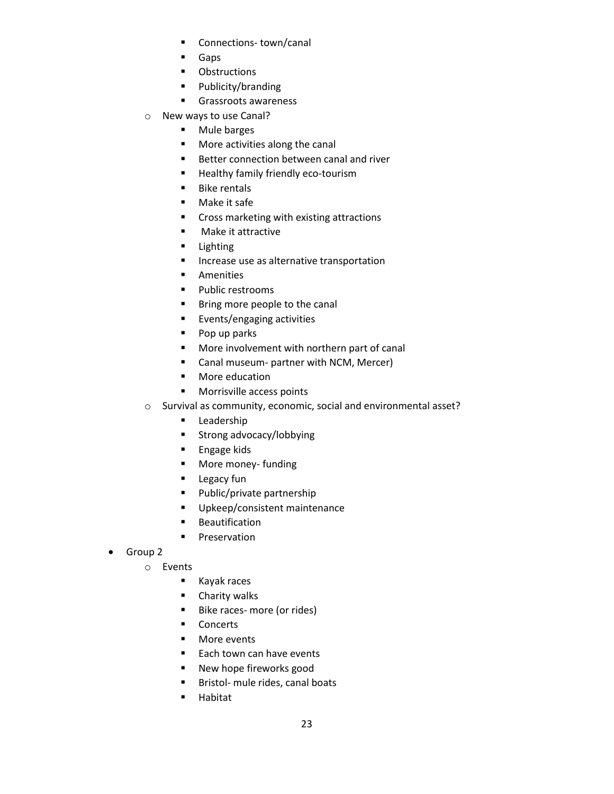- **Connections- town/canal**
- Gaps
- **•** Obstructions
- Publicity/branding
- **Grassroots awareness**
- o New ways to use Canal?
	- **Mule barges**
	- **More activities along the canal**
	- **Better connection between canal and river**
	- **Healthy family friendly eco-tourism**
	- **Bike rentals**
	- **Make it safe**
	- **EXPLOSE MARKET COSTANGER IN EXAMPLE THE COST COST**
	- **Make it attractive**
	- **Lighting**
	- **Increase use as alternative transportation**
	- **-** Amenities
	- **Public restrooms**
	- **Bring more people to the canal**
	- **Exents/engaging activities**
	- Pop up parks
	- **More involvement with northern part of canal**
	- Canal museum- partner with NCM, Mercer)
	- **More education**
	- **Morrisville access points**
- o Survival as community, economic, social and environmental asset?
	- **Leadership**
	- **Strong advocacy/lobbying**
	- **Engage kids**
	- **More money-funding**
	- **Legacy fun**
	- Public/private partnership
	- **Upkeep/consistent maintenance**
	- **Beautification**
	- **Preservation**
- Group 2
	- o Events
		- Kayak races
		- **E** Charity walks
		- Bike races- more (or rides)
		- **Concerts**
		- **More events**
		- Each town can have events
		- New hope fireworks good
		- **Bristol- mule rides, canal boats**
		- **Habitat**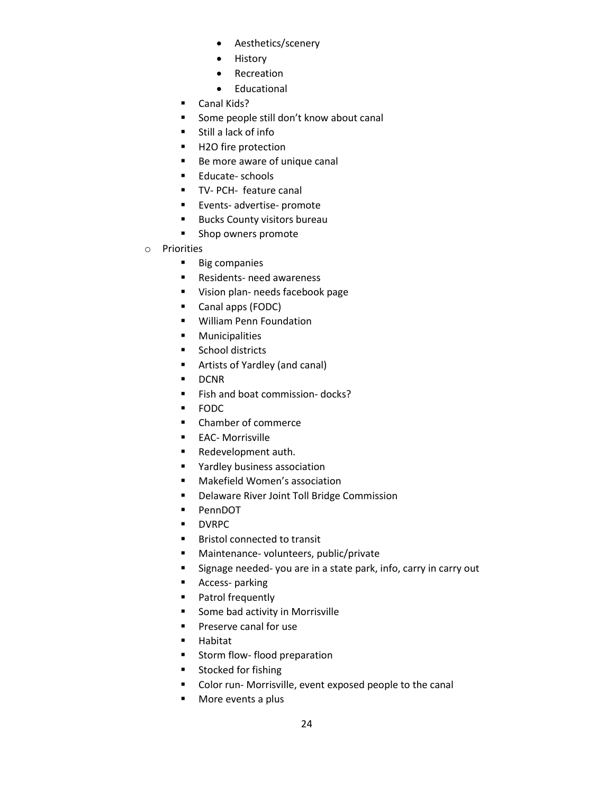- Aesthetics/scenery
- History
- Recreation
- Educational
- Canal Kids?
- Some people still don't know about canal
- **Still a lack of info**
- H2O fire protection
- Be more aware of unique canal
- **Educate- schools**
- **TV- PCH-** feature canal
- **Events- advertise- promote**
- **Bucks County visitors bureau**
- **Shop owners promote**
- o Priorities
	- **Big companies**
	- Residents- need awareness
	- **UIST** Vision plan- needs facebook page
	- Canal apps (FODC)
	- **William Penn Foundation**
	- **•** Municipalities
	- **School districts**
	- Artists of Yardley (and canal)
	- **DCNR**
	- **Fish and boat commission- docks?**
	- **FODC**
	- Chamber of commerce
	- **EAC- Morrisville**
	- **Redevelopment auth.**
	- **F** Yardley business association
	- Makefield Women's association
	- **•** Delaware River Joint Toll Bridge Commission
	- **PennDOT**
	- **DVRPC**
	- **Bristol connected to transit**
	- **Maintenance- volunteers, public/private**
	- Signage needed- you are in a state park, info, carry in carry out
	- **Access- parking**
	- **Patrol frequently**
	- **Some bad activity in Morrisville**
	- **Preserve canal for use**
	- **Habitat**
	- **Storm flow- flood preparation**
	- **Stocked for fishing**
	- Color run- Morrisville, event exposed people to the canal
	- **More events a plus**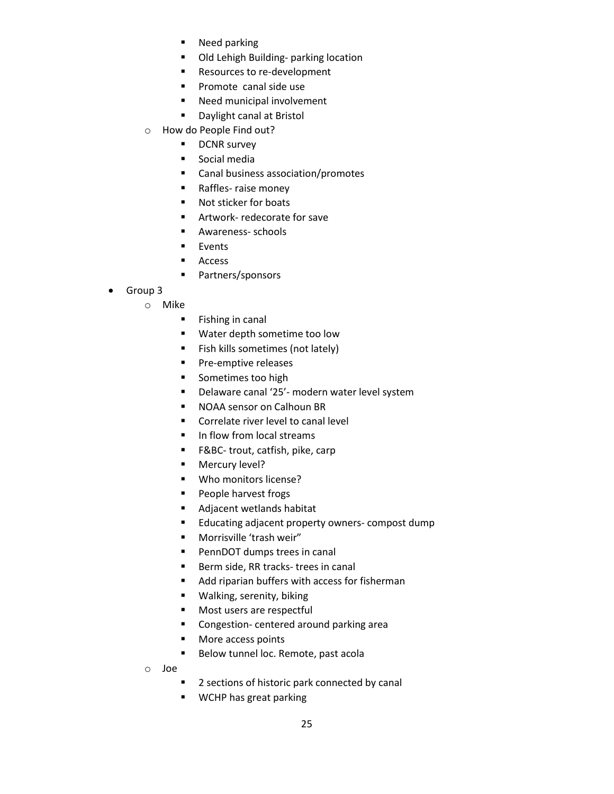- **Need parking**
- **DID Lehigh Building- parking location**
- **Resources to re-development**
- **Promote canal side use**
- Need municipal involvement
- **Daylight canal at Bristol**
- o How do People Find out?
	- **DCNR** survey
	- **Social media**
	- Canal business association/promotes
	- **Raffles- raise money**
	- Not sticker for boats
	- **EXEC** Artwork- redecorate for save
	- **Awareness- schools**
	- **Events**
	- **Access**
	- **Partners/sponsors**
- Group 3
	- o Mike
		- **Fishing in canal**
		- Water depth sometime too low
		- Fish kills sometimes (not lately)
		- **Pre-emptive releases**
		- **Sometimes too high**
		- Delaware canal '25'- modern water level system
		- NOAA sensor on Calhoun BR
		- Correlate river level to canal level
		- In flow from local streams
		- F&BC- trout, catfish, pike, carp
		- **Mercury level?**
		- **Who monitors license?**
		- **People harvest frogs**
		- Adjacent wetlands habitat
		- **Educating adjacent property owners- compost dump**
		- Morrisville 'trash weir"
		- **PennDOT dumps trees in canal**
		- Berm side, RR tracks- trees in canal
		- Add riparian buffers with access for fisherman
		- Walking, serenity, biking
		- **Most users are respectful**
		- **EXECO** Congestion- centered around parking area
		- **More access points**
		- Below tunnel loc. Remote, past acola
		- o Joe
			- 2 sections of historic park connected by canal
			- **WCHP** has great parking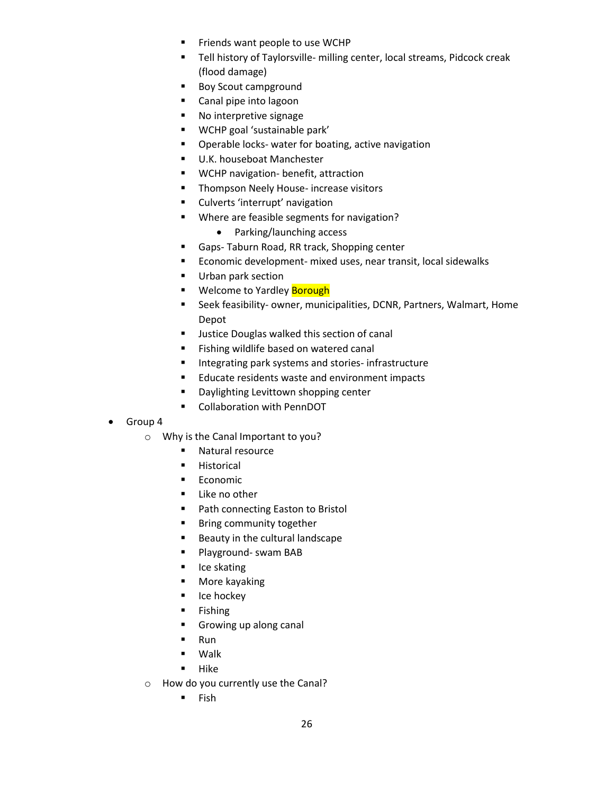- **Fiends want people to use WCHP**
- Tell history of Taylorsville- milling center, local streams, Pidcock creak (flood damage)
- Boy Scout campground
- **Canal pipe into lagoon**
- No interpretive signage
- WCHP goal 'sustainable park'
- **•** Operable locks- water for boating, active navigation
- **U.K. houseboat Manchester**
- **WCHP** navigation- benefit, attraction
- **Thompson Neely House- increase visitors**
- **Culverts 'interrupt' navigation**
- **Where are feasible segments for navigation?** 
	- Parking/launching access
- **Gaps- Taburn Road, RR track, Shopping center**
- **Economic development- mixed uses, near transit, local sidewalks**
- **Urban park section**
- Welcome to Yardley Borough
- Seek feasibility- owner, municipalities, DCNR, Partners, Walmart, Home Depot
- **Justice Douglas walked this section of canal**
- **Fishing wildlife based on watered canal**
- **Integrating park systems and stories- infrastructure**
- **Educate residents waste and environment impacts**
- **•** Daylighting Levittown shopping center
- Collaboration with PennDOT

#### • Group 4

- o Why is the Canal Important to you?
	- **Natural resource**
	- **Historical**
	- **Economic**
	- **Like no other**
	- Path connecting Easton to Bristol
	- **Bring community together**
	- **Beauty in the cultural landscape**
	- **Playground- swam BAB**
	- **I** Ice skating
	- **•** More kayaking
	- Ice hockey
	- **Fishing**
	- Growing up along canal
	- Run
	- Walk
	- $-Hike$
- o How do you currently use the Canal?
	- $\blacksquare$  Fish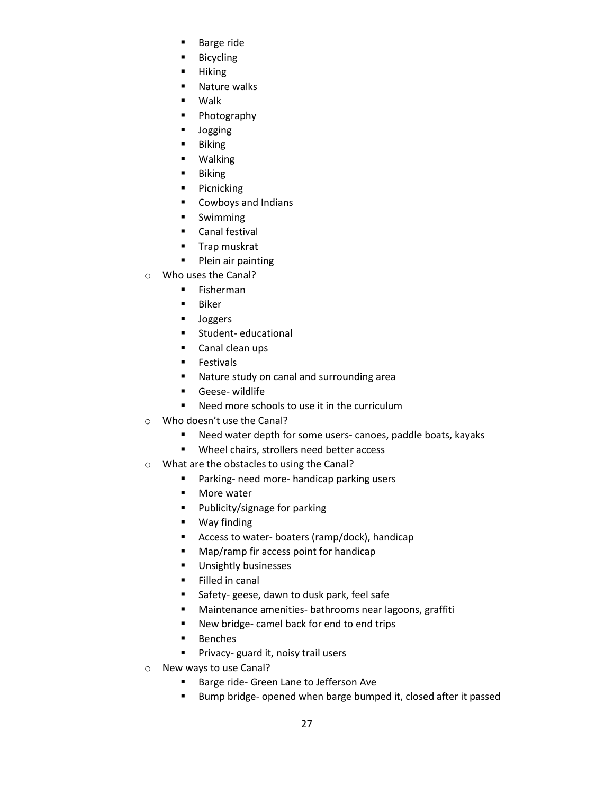- Barge ride
- Bicycling
- **Hiking**
- **Nature walks**
- Walk
- **Photography**
- Jogging
- **Biking**
- Walking
- **Biking**
- Picnicking
- **E** Cowboys and Indians
- **Swimming**
- **Canal festival**
- **Trap muskrat**
- **Plein air painting**
- o Who uses the Canal?
	- $F$  Fisherman
	- **Biker**
	- **Joggers**
	- **Student- educational**
	- **Canal clean ups**
	- **Festivals**
	- Nature study on canal and surrounding area
	- Geese- wildlife
	- Need more schools to use it in the curriculum
- o Who doesn't use the Canal?
	- Need water depth for some users- canoes, paddle boats, kayaks
	- **Wheel chairs, strollers need better access**
- o What are the obstacles to using the Canal?
	- Parking- need more- handicap parking users
	- **More water**
	- Publicity/signage for parking
	- **•** Way finding
	- Access to water- boaters (ramp/dock), handicap
	- **Map/ramp fir access point for handicaply**
	- **Unsightly businesses**
	- **Filled in canal**
	- **Safety-geese, dawn to dusk park, feel safe**
	- **Maintenance amenities- bathrooms near lagoons, graffiti**
	- New bridge- camel back for end to end trips
	- Benches
	- **Privacy- guard it, noisy trail users**
- o New ways to use Canal?
	- **Barge ride- Green Lane to Jefferson Ave**
	- **Bump bridge- opened when barge bumped it, closed after it passed**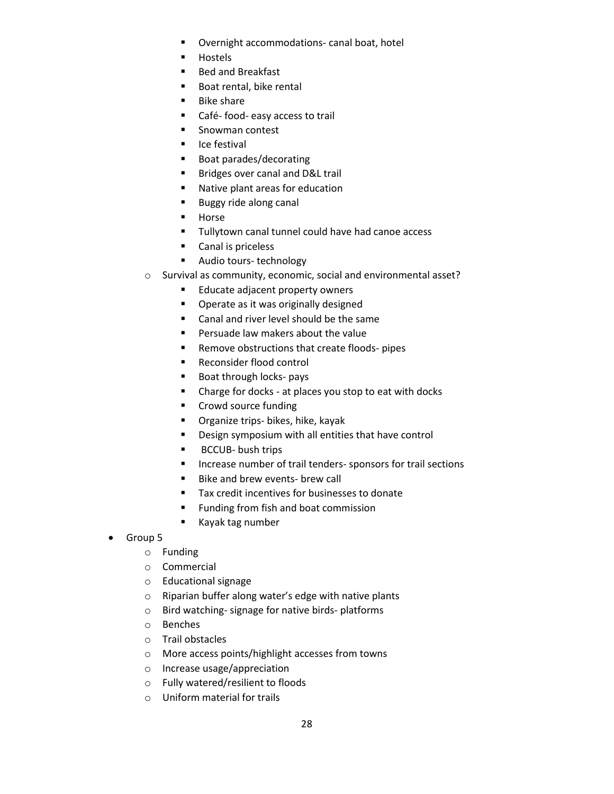- **•** Overnight accommodations- canal boat, hotel
- **-** Hostels
- Bed and Breakfast
- Boat rental, bike rental
- Bike share
- Café- food- easy access to trail
- **Snowman contest**
- $I$  Ice festival
- Boat parades/decorating
- **Bridges over canal and D&L trail**
- Native plant areas for education
- Buggy ride along canal
- **Horse**
- **Tullytown canal tunnel could have had canoe access**
- **Canal is priceless**
- Audio tours- technology
- o Survival as community, economic, social and environmental asset?
	- **Educate adjacent property owners**
	- **•** Operate as it was originally designed
	- **EXEC** Canal and river level should be the same
	- **Persuade law makers about the value**
	- **Remove obstructions that create floods- pipes**
	- Reconsider flood control
	- Boat through locks- pays
	- Charge for docks at places you stop to eat with docks
	- **•** Crowd source funding
	- **•** Organize trips- bikes, hike, kayak
	- **Design symposium with all entities that have control**
	- **BCCUB-** bush trips
	- **Increase number of trail tenders- sponsors for trail sections**
	- Bike and brew events- brew call
	- **Tax credit incentives for businesses to donate**
	- **Funding from fish and boat commission**
	- Kayak tag number
- Group 5
	- o Funding
	- o Commercial
	- o Educational signage
	- o Riparian buffer along water's edge with native plants
	- o Bird watching- signage for native birds- platforms
	- o Benches
	- o Trail obstacles
	- o More access points/highlight accesses from towns
	- o Increase usage/appreciation
	- o Fully watered/resilient to floods
	- o Uniform material for trails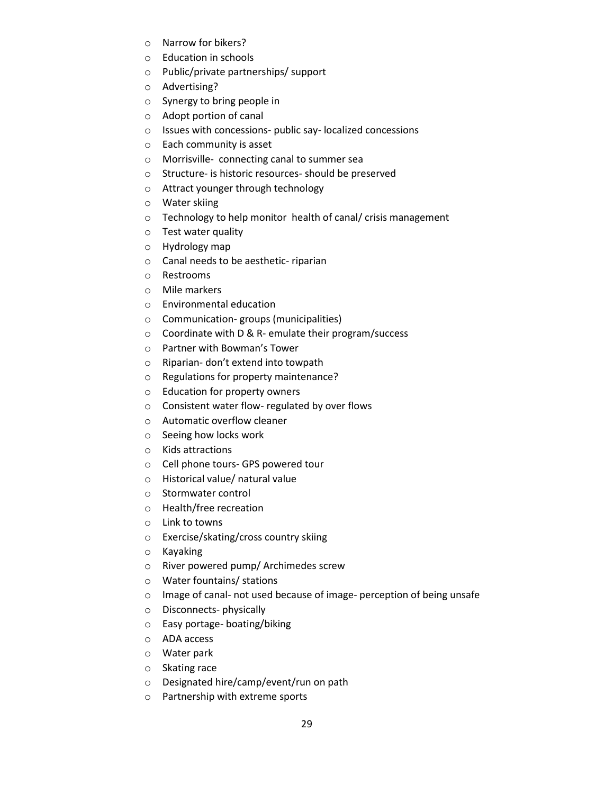- o Narrow for bikers?
- o Education in schools
- o Public/private partnerships/ support
- o Advertising?
- o Synergy to bring people in
- o Adopt portion of canal
- o Issues with concessions- public say- localized concessions
- o Each community is asset
- o Morrisville- connecting canal to summer sea
- o Structure- is historic resources- should be preserved
- o Attract younger through technology
- o Water skiing
- o Technology to help monitor health of canal/ crisis management
- o Test water quality
- o Hydrology map
- o Canal needs to be aesthetic- riparian
- o Restrooms
- o Mile markers
- o Environmental education
- o Communication- groups (municipalities)
- o Coordinate with D & R- emulate their program/success
- o Partner with Bowman's Tower
- o Riparian- don't extend into towpath
- o Regulations for property maintenance?
- o Education for property owners
- o Consistent water flow- regulated by over flows
- o Automatic overflow cleaner
- o Seeing how locks work
- o Kids attractions
- o Cell phone tours- GPS powered tour
- o Historical value/ natural value
- o Stormwater control
- o Health/free recreation
- o Link to towns
- o Exercise/skating/cross country skiing
- o Kayaking
- o River powered pump/ Archimedes screw
- o Water fountains/ stations
- o Image of canal- not used because of image- perception of being unsafe
- o Disconnects- physically
- o Easy portage- boating/biking
- o ADA access
- o Water park
- o Skating race
- o Designated hire/camp/event/run on path
- o Partnership with extreme sports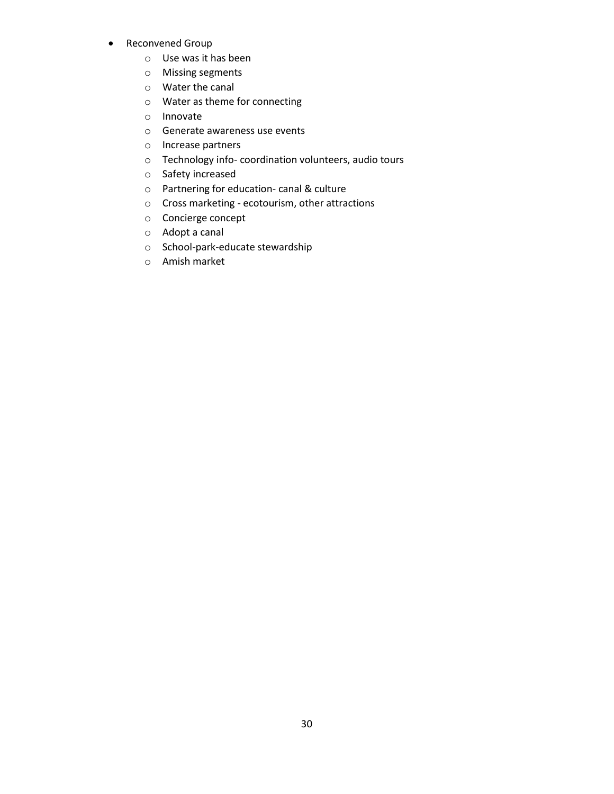- Reconvened Group
	- o Use was it has been
	- o Missing segments
	- o Water the canal
	- o Water as theme for connecting
	- o Innovate
	- o Generate awareness use events
	- o Increase partners
	- o Technology info- coordination volunteers, audio tours
	- o Safety increased
	- o Partnering for education- canal & culture
	- o Cross marketing ecotourism, other attractions
	- o Concierge concept
	- o Adopt a canal
	- o School-park-educate stewardship
	- o Amish market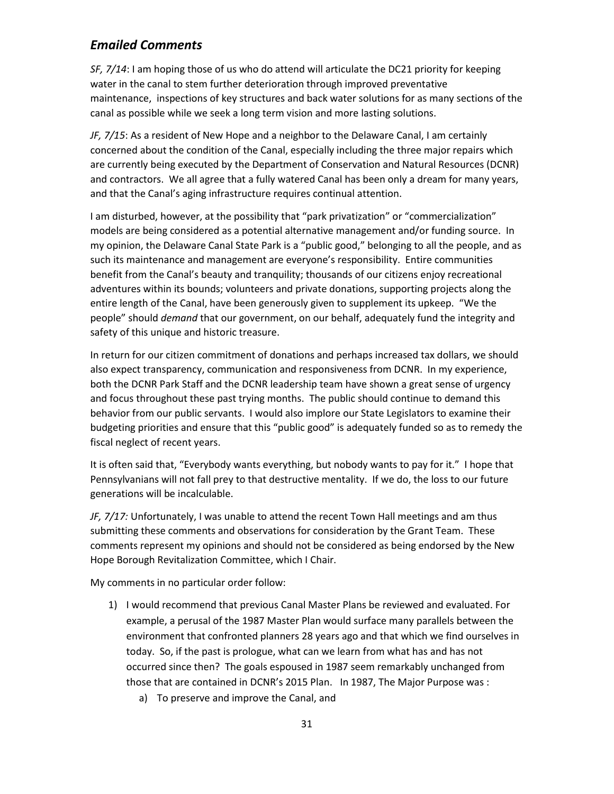# *Emailed Comments*

*SF, 7/14*: I am hoping those of us who do attend will articulate the DC21 priority for keeping water in the canal to stem further deterioration through improved preventative maintenance, inspections of key structures and back water solutions for as many sections of the canal as possible while we seek a long term vision and more lasting solutions.

*JF, 7/15*: As a resident of New Hope and a neighbor to the Delaware Canal, I am certainly concerned about the condition of the Canal, especially including the three major repairs which are currently being executed by the Department of Conservation and Natural Resources (DCNR) and contractors. We all agree that a fully watered Canal has been only a dream for many years, and that the Canal's aging infrastructure requires continual attention.

I am disturbed, however, at the possibility that "park privatization" or "commercialization" models are being considered as a potential alternative management and/or funding source. In my opinion, the Delaware Canal State Park is a "public good," belonging to all the people, and as such its maintenance and management are everyone's responsibility. Entire communities benefit from the Canal's beauty and tranquility; thousands of our citizens enjoy recreational adventures within its bounds; volunteers and private donations, supporting projects along the entire length of the Canal, have been generously given to supplement its upkeep. "We the people" should *demand* that our government, on our behalf, adequately fund the integrity and safety of this unique and historic treasure.

In return for our citizen commitment of donations and perhaps increased tax dollars, we should also expect transparency, communication and responsiveness from DCNR. In my experience, both the DCNR Park Staff and the DCNR leadership team have shown a great sense of urgency and focus throughout these past trying months. The public should continue to demand this behavior from our public servants. I would also implore our State Legislators to examine their budgeting priorities and ensure that this "public good" is adequately funded so as to remedy the fiscal neglect of recent years.

It is often said that, "Everybody wants everything, but nobody wants to pay for it." I hope that Pennsylvanians will not fall prey to that destructive mentality. If we do, the loss to our future generations will be incalculable.

*JF, 7/17:* Unfortunately, I was unable to attend the recent Town Hall meetings and am thus submitting these comments and observations for consideration by the Grant Team. These comments represent my opinions and should not be considered as being endorsed by the New Hope Borough Revitalization Committee, which I Chair.

My comments in no particular order follow:

- 1) I would recommend that previous Canal Master Plans be reviewed and evaluated. For example, a perusal of the 1987 Master Plan would surface many parallels between the environment that confronted planners 28 years ago and that which we find ourselves in today. So, if the past is prologue, what can we learn from what has and has not occurred since then? The goals espoused in 1987 seem remarkably unchanged from those that are contained in DCNR's 2015 Plan. In 1987, The Major Purpose was :
	- a) To preserve and improve the Canal, and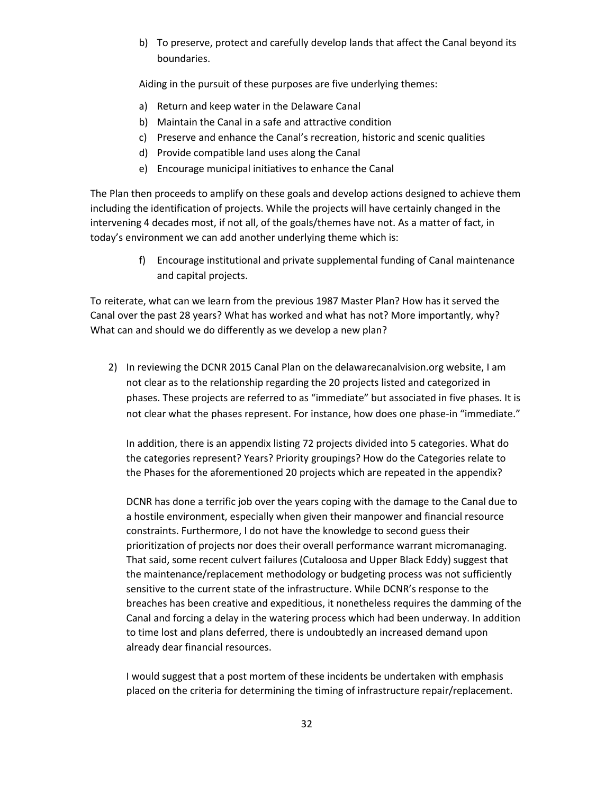b) To preserve, protect and carefully develop lands that affect the Canal beyond its boundaries.

Aiding in the pursuit of these purposes are five underlying themes:

- a) Return and keep water in the Delaware Canal
- b) Maintain the Canal in a safe and attractive condition
- c) Preserve and enhance the Canal's recreation, historic and scenic qualities
- d) Provide compatible land uses along the Canal
- e) Encourage municipal initiatives to enhance the Canal

The Plan then proceeds to amplify on these goals and develop actions designed to achieve them including the identification of projects. While the projects will have certainly changed in the intervening 4 decades most, if not all, of the goals/themes have not. As a matter of fact, in today's environment we can add another underlying theme which is:

> f) Encourage institutional and private supplemental funding of Canal maintenance and capital projects.

To reiterate, what can we learn from the previous 1987 Master Plan? How has it served the Canal over the past 28 years? What has worked and what has not? More importantly, why? What can and should we do differently as we develop a new plan?

2) In reviewing the DCNR 2015 Canal Plan on the delawarecanalvision.org website, I am not clear as to the relationship regarding the 20 projects listed and categorized in phases. These projects are referred to as "immediate" but associated in five phases. It is not clear what the phases represent. For instance, how does one phase-in "immediate."

In addition, there is an appendix listing 72 projects divided into 5 categories. What do the categories represent? Years? Priority groupings? How do the Categories relate to the Phases for the aforementioned 20 projects which are repeated in the appendix?

DCNR has done a terrific job over the years coping with the damage to the Canal due to a hostile environment, especially when given their manpower and financial resource constraints. Furthermore, I do not have the knowledge to second guess their prioritization of projects nor does their overall performance warrant micromanaging. That said, some recent culvert failures (Cutaloosa and Upper Black Eddy) suggest that the maintenance/replacement methodology or budgeting process was not sufficiently sensitive to the current state of the infrastructure. While DCNR's response to the breaches has been creative and expeditious, it nonetheless requires the damming of the Canal and forcing a delay in the watering process which had been underway. In addition to time lost and plans deferred, there is undoubtedly an increased demand upon already dear financial resources.

I would suggest that a post mortem of these incidents be undertaken with emphasis placed on the criteria for determining the timing of infrastructure repair/replacement.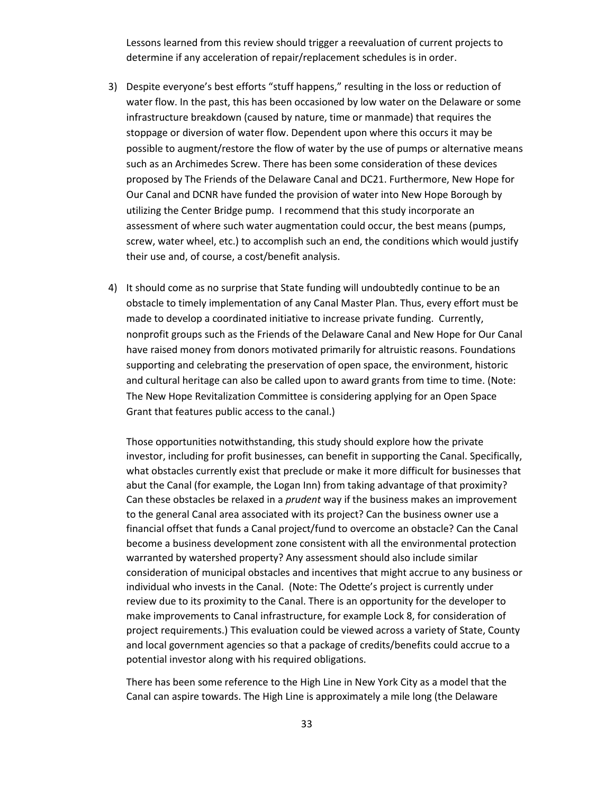Lessons learned from this review should trigger a reevaluation of current projects to determine if any acceleration of repair/replacement schedules is in order.

- 3) Despite everyone's best efforts "stuff happens," resulting in the loss or reduction of water flow. In the past, this has been occasioned by low water on the Delaware or some infrastructure breakdown (caused by nature, time or manmade) that requires the stoppage or diversion of water flow. Dependent upon where this occurs it may be possible to augment/restore the flow of water by the use of pumps or alternative means such as an Archimedes Screw. There has been some consideration of these devices proposed by The Friends of the Delaware Canal and DC21. Furthermore, New Hope for Our Canal and DCNR have funded the provision of water into New Hope Borough by utilizing the Center Bridge pump. I recommend that this study incorporate an assessment of where such water augmentation could occur, the best means (pumps, screw, water wheel, etc.) to accomplish such an end, the conditions which would justify their use and, of course, a cost/benefit analysis.
- 4) It should come as no surprise that State funding will undoubtedly continue to be an obstacle to timely implementation of any Canal Master Plan. Thus, every effort must be made to develop a coordinated initiative to increase private funding. Currently, nonprofit groups such as the Friends of the Delaware Canal and New Hope for Our Canal have raised money from donors motivated primarily for altruistic reasons. Foundations supporting and celebrating the preservation of open space, the environment, historic and cultural heritage can also be called upon to award grants from time to time. (Note: The New Hope Revitalization Committee is considering applying for an Open Space Grant that features public access to the canal.)

Those opportunities notwithstanding, this study should explore how the private investor, including for profit businesses, can benefit in supporting the Canal. Specifically, what obstacles currently exist that preclude or make it more difficult for businesses that abut the Canal (for example, the Logan Inn) from taking advantage of that proximity? Can these obstacles be relaxed in a *prudent* way if the business makes an improvement to the general Canal area associated with its project? Can the business owner use a financial offset that funds a Canal project/fund to overcome an obstacle? Can the Canal become a business development zone consistent with all the environmental protection warranted by watershed property? Any assessment should also include similar consideration of municipal obstacles and incentives that might accrue to any business or individual who invests in the Canal. (Note: The Odette's project is currently under review due to its proximity to the Canal. There is an opportunity for the developer to make improvements to Canal infrastructure, for example Lock 8, for consideration of project requirements.) This evaluation could be viewed across a variety of State, County and local government agencies so that a package of credits/benefits could accrue to a potential investor along with his required obligations.

There has been some reference to the High Line in New York City as a model that the Canal can aspire towards. The High Line is approximately a mile long (the Delaware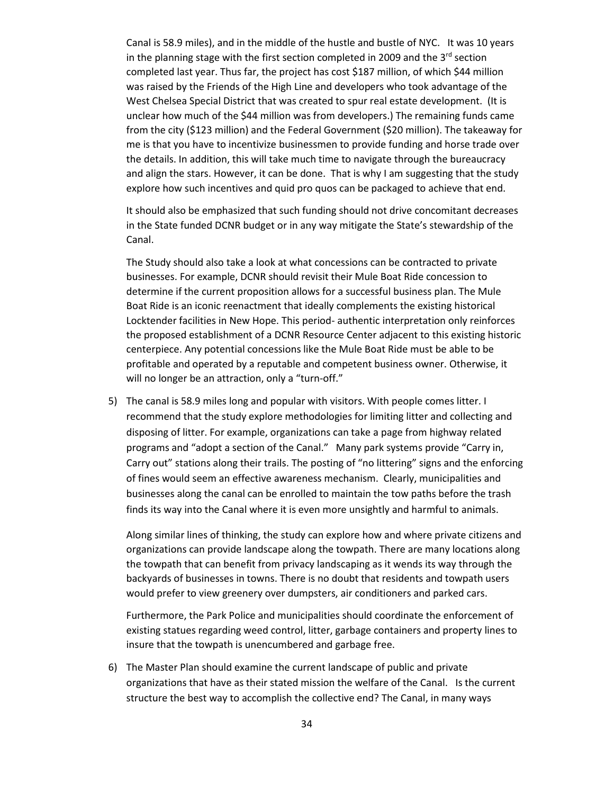Canal is 58.9 miles), and in the middle of the hustle and bustle of NYC. It was 10 years in the planning stage with the first section completed in 2009 and the  $3^{rd}$  section completed last year. Thus far, the project has cost \$187 million, of which \$44 million was raised by the Friends of the High Line and developers who took advantage of the West Chelsea Special District that was created to spur real estate development. (It is unclear how much of the \$44 million was from developers.) The remaining funds came from the city (\$123 million) and the Federal Government (\$20 million). The takeaway for me is that you have to incentivize businessmen to provide funding and horse trade over the details. In addition, this will take much time to navigate through the bureaucracy and align the stars. However, it can be done. That is why I am suggesting that the study explore how such incentives and quid pro quos can be packaged to achieve that end.

It should also be emphasized that such funding should not drive concomitant decreases in the State funded DCNR budget or in any way mitigate the State's stewardship of the Canal.

The Study should also take a look at what concessions can be contracted to private businesses. For example, DCNR should revisit their Mule Boat Ride concession to determine if the current proposition allows for a successful business plan. The Mule Boat Ride is an iconic reenactment that ideally complements the existing historical Locktender facilities in New Hope. This period- authentic interpretation only reinforces the proposed establishment of a DCNR Resource Center adjacent to this existing historic centerpiece. Any potential concessions like the Mule Boat Ride must be able to be profitable and operated by a reputable and competent business owner. Otherwise, it will no longer be an attraction, only a "turn-off."

5) The canal is 58.9 miles long and popular with visitors. With people comes litter. I recommend that the study explore methodologies for limiting litter and collecting and disposing of litter. For example, organizations can take a page from highway related programs and "adopt a section of the Canal." Many park systems provide "Carry in, Carry out" stations along their trails. The posting of "no littering" signs and the enforcing of fines would seem an effective awareness mechanism. Clearly, municipalities and businesses along the canal can be enrolled to maintain the tow paths before the trash finds its way into the Canal where it is even more unsightly and harmful to animals.

Along similar lines of thinking, the study can explore how and where private citizens and organizations can provide landscape along the towpath. There are many locations along the towpath that can benefit from privacy landscaping as it wends its way through the backyards of businesses in towns. There is no doubt that residents and towpath users would prefer to view greenery over dumpsters, air conditioners and parked cars.

Furthermore, the Park Police and municipalities should coordinate the enforcement of existing statues regarding weed control, litter, garbage containers and property lines to insure that the towpath is unencumbered and garbage free.

6) The Master Plan should examine the current landscape of public and private organizations that have as their stated mission the welfare of the Canal. Is the current structure the best way to accomplish the collective end? The Canal, in many ways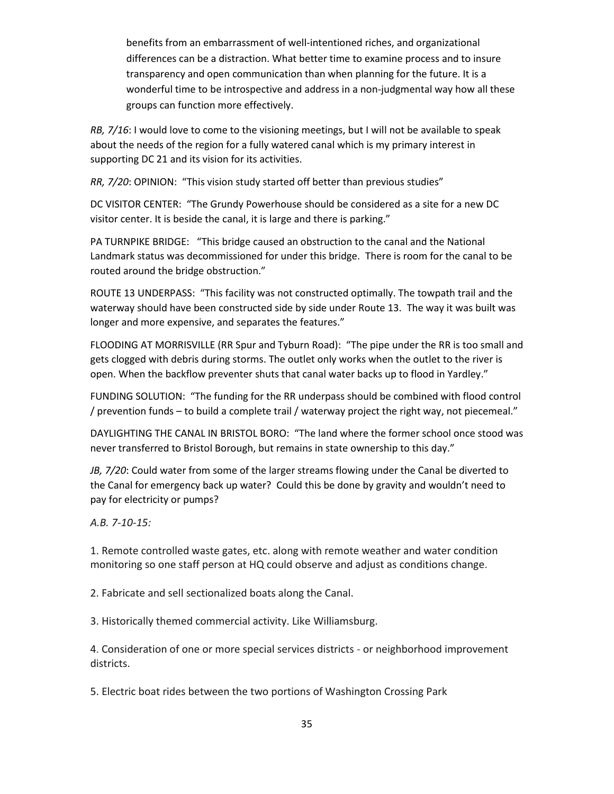benefits from an embarrassment of well-intentioned riches, and organizational differences can be a distraction. What better time to examine process and to insure transparency and open communication than when planning for the future. It is a wonderful time to be introspective and address in a non-judgmental way how all these groups can function more effectively.

*RB, 7/16*: I would love to come to the visioning meetings, but I will not be available to speak about the needs of the region for a fully watered canal which is my primary interest in supporting DC 21 and its vision for its activities.

*RR, 7/20*: OPINION: "This vision study started off better than previous studies"

DC VISITOR CENTER: "The Grundy Powerhouse should be considered as a site for a new DC visitor center. It is beside the canal, it is large and there is parking."

PA TURNPIKE BRIDGE: "This bridge caused an obstruction to the canal and the National Landmark status was decommissioned for under this bridge. There is room for the canal to be routed around the bridge obstruction."

ROUTE 13 UNDERPASS: "This facility was not constructed optimally. The towpath trail and the waterway should have been constructed side by side under Route 13. The way it was built was longer and more expensive, and separates the features."

FLOODING AT MORRISVILLE (RR Spur and Tyburn Road): "The pipe under the RR is too small and gets clogged with debris during storms. The outlet only works when the outlet to the river is open. When the backflow preventer shuts that canal water backs up to flood in Yardley."

FUNDING SOLUTION: "The funding for the RR underpass should be combined with flood control / prevention funds – to build a complete trail / waterway project the right way, not piecemeal."

DAYLIGHTING THE CANAL IN BRISTOL BORO: "The land where the former school once stood was never transferred to Bristol Borough, but remains in state ownership to this day."

*JB, 7/20*: Could water from some of the larger streams flowing under the Canal be diverted to the Canal for emergency back up water? Could this be done by gravity and wouldn't need to pay for electricity or pumps?

*A.B. 7-10-15:*

1. Remote controlled waste gates, etc. along with remote weather and water condition monitoring so one staff person at HQ could observe and adjust as conditions change.

2. Fabricate and sell sectionalized boats along the Canal.

3. Historically themed commercial activity. Like Williamsburg.

4. Consideration of one or more special services districts - or neighborhood improvement districts.

5. Electric boat rides between the two portions of Washington Crossing Park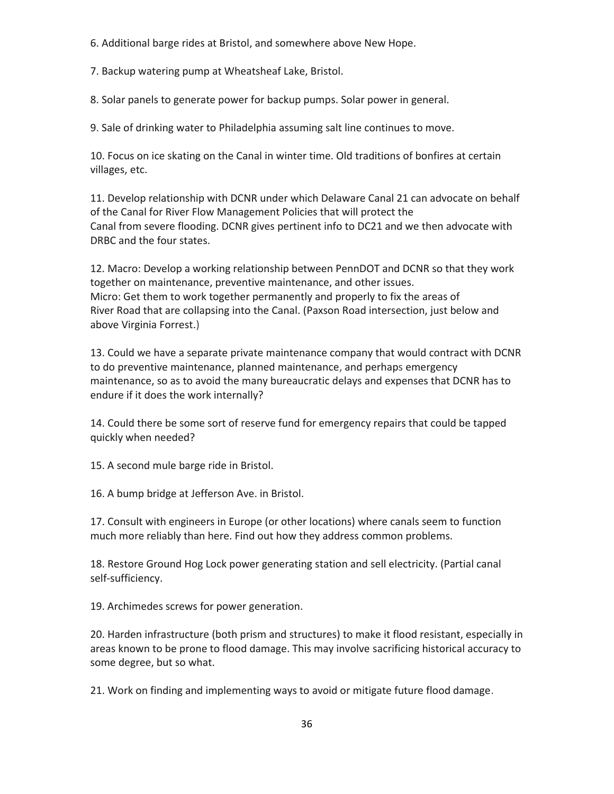6. Additional barge rides at Bristol, and somewhere above New Hope.

7. Backup watering pump at Wheatsheaf Lake, Bristol.

8. Solar panels to generate power for backup pumps. Solar power in general.

9. Sale of drinking water to Philadelphia assuming salt line continues to move.

10. Focus on ice skating on the Canal in winter time. Old traditions of bonfires at certain villages, etc.

11. Develop relationship with DCNR under which Delaware Canal 21 can advocate on behalf of the Canal for River Flow Management Policies that will protect the Canal from severe flooding. DCNR gives pertinent info to DC21 and we then advocate with DRBC and the four states.

12. Macro: Develop a working relationship between PennDOT and DCNR so that they work together on maintenance, preventive maintenance, and other issues. Micro: Get them to work together permanently and properly to fix the areas of River Road that are collapsing into the Canal. (Paxson Road intersection, just below and above Virginia Forrest.)

13. Could we have a separate private maintenance company that would contract with DCNR to do preventive maintenance, planned maintenance, and perhaps emergency maintenance, so as to avoid the many bureaucratic delays and expenses that DCNR has to endure if it does the work internally?

14. Could there be some sort of reserve fund for emergency repairs that could be tapped quickly when needed?

15. A second mule barge ride in Bristol.

16. A bump bridge at Jefferson Ave. in Bristol.

17. Consult with engineers in Europe (or other locations) where canals seem to function much more reliably than here. Find out how they address common problems.

18. Restore Ground Hog Lock power generating station and sell electricity. (Partial canal self-sufficiency.

19. Archimedes screws for power generation.

20. Harden infrastructure (both prism and structures) to make it flood resistant, especially in areas known to be prone to flood damage. This may involve sacrificing historical accuracy to some degree, but so what.

21. Work on finding and implementing ways to avoid or mitigate future flood damage.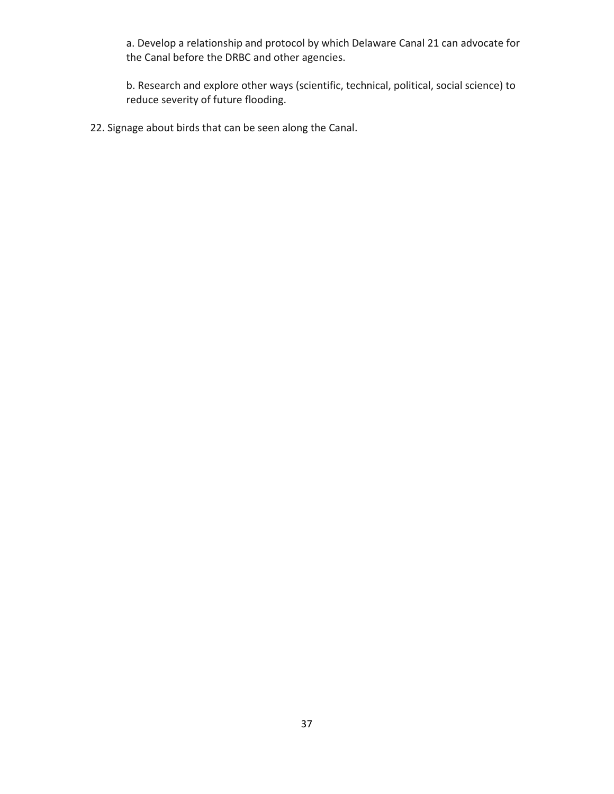a. Develop a relationship and protocol by which Delaware Canal 21 can advocate for the Canal before the DRBC and other agencies.

b. Research and explore other ways (scientific, technical, political, social science) to reduce severity of future flooding.

22. Signage about birds that can be seen along the Canal.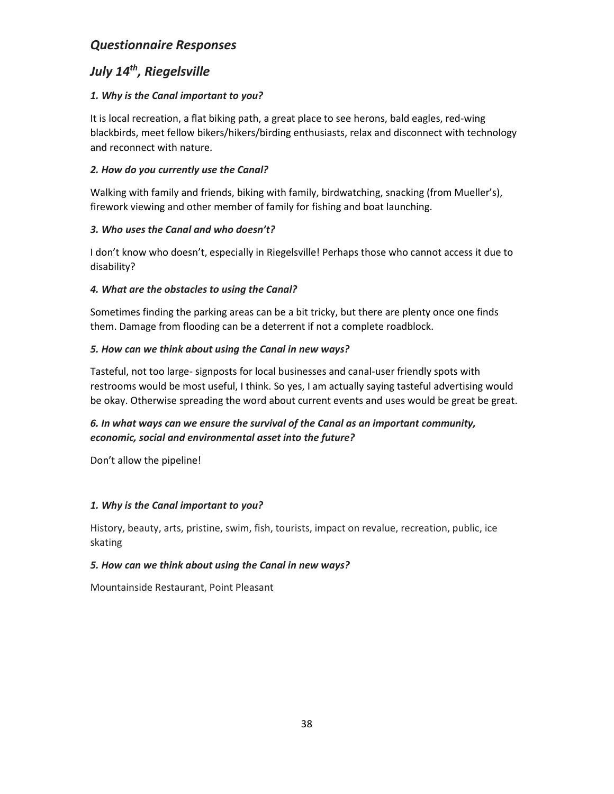# *Questionnaire Responses*

# *July 14th, Riegelsville*

# *1. Why is the Canal important to you?*

It is local recreation, a flat biking path, a great place to see herons, bald eagles, red-wing blackbirds, meet fellow bikers/hikers/birding enthusiasts, relax and disconnect with technology and reconnect with nature.

# *2. How do you currently use the Canal?*

Walking with family and friends, biking with family, birdwatching, snacking (from Mueller's), firework viewing and other member of family for fishing and boat launching.

# *3. Who uses the Canal and who doesn't?*

I don't know who doesn't, especially in Riegelsville! Perhaps those who cannot access it due to disability?

# *4. What are the obstacles to using the Canal?*

Sometimes finding the parking areas can be a bit tricky, but there are plenty once one finds them. Damage from flooding can be a deterrent if not a complete roadblock.

# *5. How can we think about using the Canal in new ways?*

Tasteful, not too large- signposts for local businesses and canal-user friendly spots with restrooms would be most useful, I think. So yes, I am actually saying tasteful advertising would be okay. Otherwise spreading the word about current events and uses would be great be great.

# *6. In what ways can we ensure the survival of the Canal as an important community, economic, social and environmental asset into the future?*

Don't allow the pipeline!

# *1. Why is the Canal important to you?*

History, beauty, arts, pristine, swim, fish, tourists, impact on revalue, recreation, public, ice skating

## *5. How can we think about using the Canal in new ways?*

Mountainside Restaurant, Point Pleasant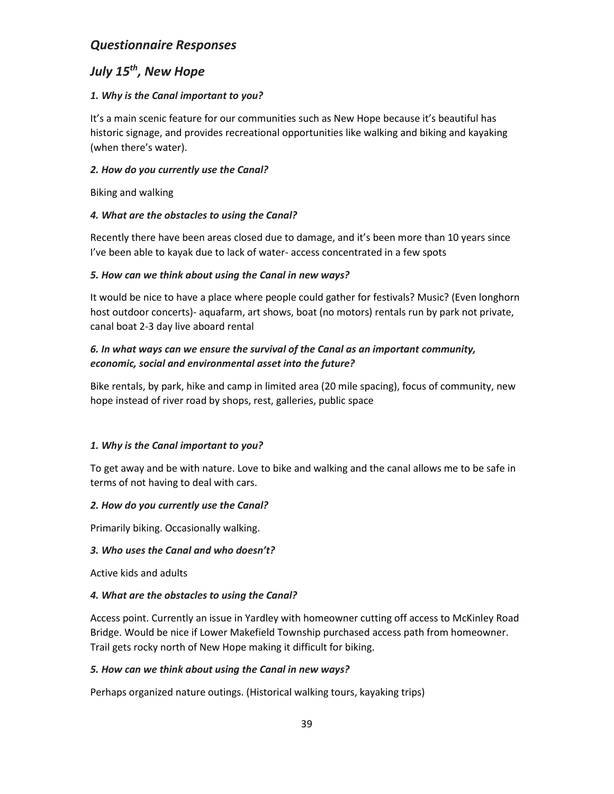# *Questionnaire Responses*

# *July 15th, New Hope*

## *1. Why is the Canal important to you?*

It's a main scenic feature for our communities such as New Hope because it's beautiful has historic signage, and provides recreational opportunities like walking and biking and kayaking (when there's water).

### *2. How do you currently use the Canal?*

Biking and walking

### *4. What are the obstacles to using the Canal?*

Recently there have been areas closed due to damage, and it's been more than 10 years since I've been able to kayak due to lack of water- access concentrated in a few spots

### *5. How can we think about using the Canal in new ways?*

It would be nice to have a place where people could gather for festivals? Music? (Even longhorn host outdoor concerts)- aquafarm, art shows, boat (no motors) rentals run by park not private, canal boat 2-3 day live aboard rental

## *6. In what ways can we ensure the survival of the Canal as an important community, economic, social and environmental asset into the future?*

Bike rentals, by park, hike and camp in limited area (20 mile spacing), focus of community, new hope instead of river road by shops, rest, galleries, public space

## *1. Why is the Canal important to you?*

To get away and be with nature. Love to bike and walking and the canal allows me to be safe in terms of not having to deal with cars.

#### *2. How do you currently use the Canal?*

Primarily biking. Occasionally walking.

#### *3. Who uses the Canal and who doesn't?*

Active kids and adults

#### *4. What are the obstacles to using the Canal?*

Access point. Currently an issue in Yardley with homeowner cutting off access to McKinley Road Bridge. Would be nice if Lower Makefield Township purchased access path from homeowner. Trail gets rocky north of New Hope making it difficult for biking.

#### *5. How can we think about using the Canal in new ways?*

Perhaps organized nature outings. (Historical walking tours, kayaking trips)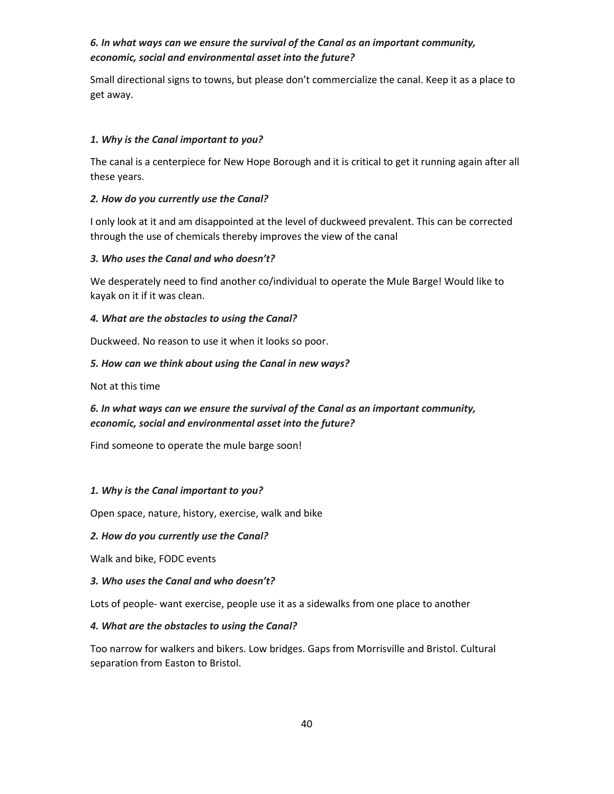## *6. In what ways can we ensure the survival of the Canal as an important community, economic, social and environmental asset into the future?*

Small directional signs to towns, but please don't commercialize the canal. Keep it as a place to get away.

#### *1. Why is the Canal important to you?*

The canal is a centerpiece for New Hope Borough and it is critical to get it running again after all these years.

#### *2. How do you currently use the Canal?*

I only look at it and am disappointed at the level of duckweed prevalent. This can be corrected through the use of chemicals thereby improves the view of the canal

#### *3. Who uses the Canal and who doesn't?*

We desperately need to find another co/individual to operate the Mule Barge! Would like to kayak on it if it was clean.

#### *4. What are the obstacles to using the Canal?*

Duckweed. No reason to use it when it looks so poor.

#### *5. How can we think about using the Canal in new ways?*

Not at this time

# *6. In what ways can we ensure the survival of the Canal as an important community, economic, social and environmental asset into the future?*

Find someone to operate the mule barge soon!

#### *1. Why is the Canal important to you?*

Open space, nature, history, exercise, walk and bike

#### *2. How do you currently use the Canal?*

Walk and bike, FODC events

#### *3. Who uses the Canal and who doesn't?*

Lots of people- want exercise, people use it as a sidewalks from one place to another

#### *4. What are the obstacles to using the Canal?*

Too narrow for walkers and bikers. Low bridges. Gaps from Morrisville and Bristol. Cultural separation from Easton to Bristol.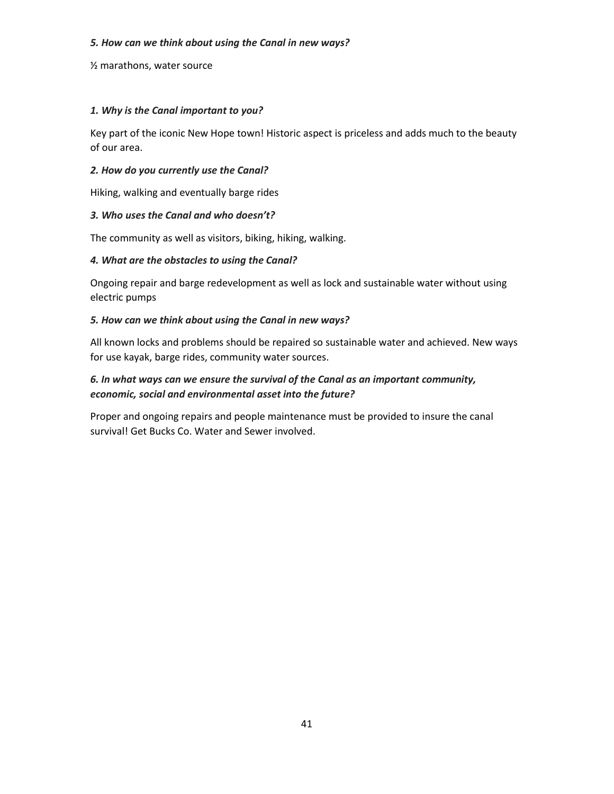#### *5. How can we think about using the Canal in new ways?*

½ marathons, water source

#### *1. Why is the Canal important to you?*

Key part of the iconic New Hope town! Historic aspect is priceless and adds much to the beauty of our area.

#### *2. How do you currently use the Canal?*

Hiking, walking and eventually barge rides

#### *3. Who uses the Canal and who doesn't?*

The community as well as visitors, biking, hiking, walking.

#### *4. What are the obstacles to using the Canal?*

Ongoing repair and barge redevelopment as well as lock and sustainable water without using electric pumps

#### *5. How can we think about using the Canal in new ways?*

All known locks and problems should be repaired so sustainable water and achieved. New ways for use kayak, barge rides, community water sources.

## *6. In what ways can we ensure the survival of the Canal as an important community, economic, social and environmental asset into the future?*

Proper and ongoing repairs and people maintenance must be provided to insure the canal survival! Get Bucks Co. Water and Sewer involved.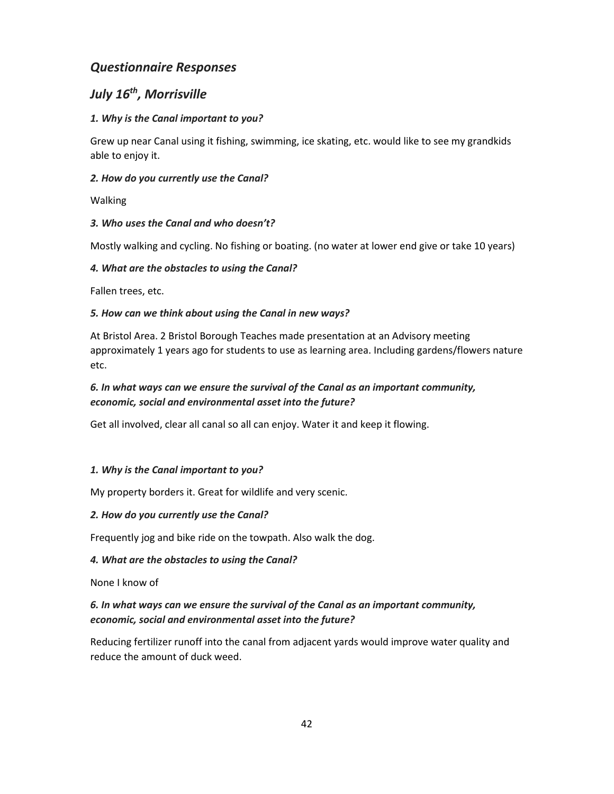# *Questionnaire Responses*

# *July 16th, Morrisville*

### *1. Why is the Canal important to you?*

Grew up near Canal using it fishing, swimming, ice skating, etc. would like to see my grandkids able to enjoy it.

#### *2. How do you currently use the Canal?*

Walking

#### *3. Who uses the Canal and who doesn't?*

Mostly walking and cycling. No fishing or boating. (no water at lower end give or take 10 years)

#### *4. What are the obstacles to using the Canal?*

Fallen trees, etc.

### *5. How can we think about using the Canal in new ways?*

At Bristol Area. 2 Bristol Borough Teaches made presentation at an Advisory meeting approximately 1 years ago for students to use as learning area. Including gardens/flowers nature etc.

## *6. In what ways can we ensure the survival of the Canal as an important community, economic, social and environmental asset into the future?*

Get all involved, clear all canal so all can enjoy. Water it and keep it flowing.

#### *1. Why is the Canal important to you?*

My property borders it. Great for wildlife and very scenic.

#### *2. How do you currently use the Canal?*

Frequently jog and bike ride on the towpath. Also walk the dog.

#### *4. What are the obstacles to using the Canal?*

None I know of

# *6. In what ways can we ensure the survival of the Canal as an important community, economic, social and environmental asset into the future?*

Reducing fertilizer runoff into the canal from adjacent yards would improve water quality and reduce the amount of duck weed.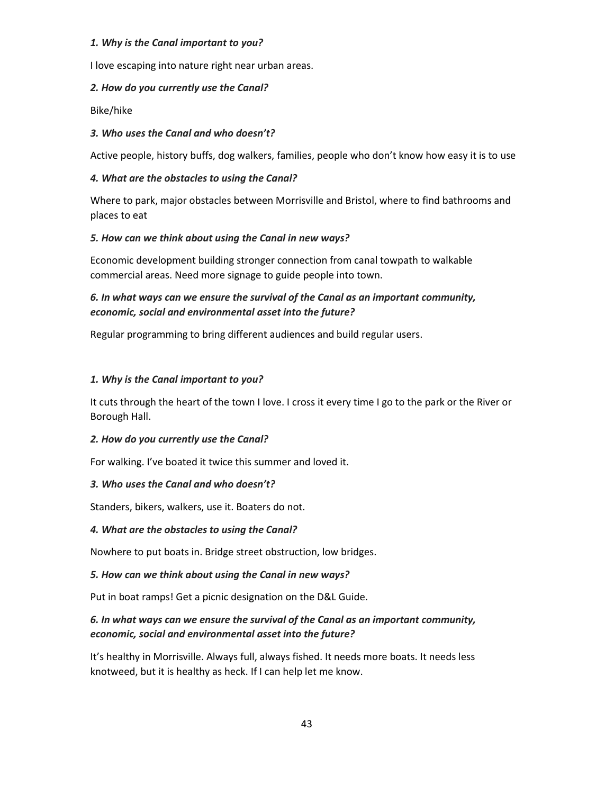#### *1. Why is the Canal important to you?*

I love escaping into nature right near urban areas.

#### *2. How do you currently use the Canal?*

Bike/hike

#### *3. Who uses the Canal and who doesn't?*

Active people, history buffs, dog walkers, families, people who don't know how easy it is to use

#### *4. What are the obstacles to using the Canal?*

Where to park, major obstacles between Morrisville and Bristol, where to find bathrooms and places to eat

#### *5. How can we think about using the Canal in new ways?*

Economic development building stronger connection from canal towpath to walkable commercial areas. Need more signage to guide people into town.

## *6. In what ways can we ensure the survival of the Canal as an important community, economic, social and environmental asset into the future?*

Regular programming to bring different audiences and build regular users.

#### *1. Why is the Canal important to you?*

It cuts through the heart of the town I love. I cross it every time I go to the park or the River or Borough Hall.

#### *2. How do you currently use the Canal?*

For walking. I've boated it twice this summer and loved it.

#### *3. Who uses the Canal and who doesn't?*

Standers, bikers, walkers, use it. Boaters do not.

#### *4. What are the obstacles to using the Canal?*

Nowhere to put boats in. Bridge street obstruction, low bridges.

#### *5. How can we think about using the Canal in new ways?*

Put in boat ramps! Get a picnic designation on the D&L Guide.

## *6. In what ways can we ensure the survival of the Canal as an important community, economic, social and environmental asset into the future?*

It's healthy in Morrisville. Always full, always fished. It needs more boats. It needs less knotweed, but it is healthy as heck. If I can help let me know.